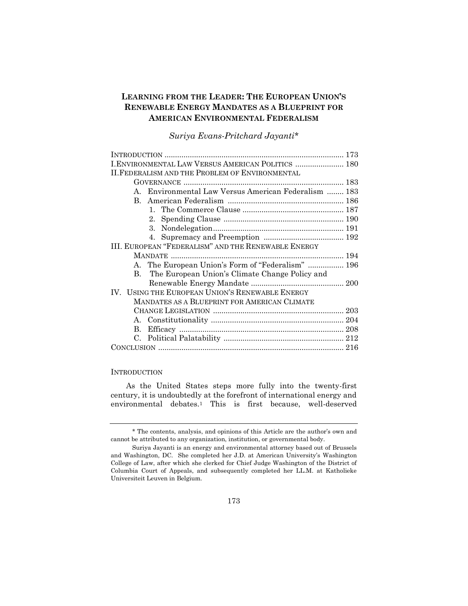# **LEARNING FROM THE LEADER: THE EUROPEAN UNION'S RENEWABLE ENERGY MANDATES AS A BLUEPRINT FOR AMERICAN ENVIRONMENTAL FEDERALISM**

# *Suriya Evans-Pritchard Jayanti\**

| I. ENVIRONMENTAL LAW VERSUS AMERICAN POLITICS  180               |  |
|------------------------------------------------------------------|--|
| <b>II. FEDERALISM AND THE PROBLEM OF ENVIRONMENTAL</b>           |  |
|                                                                  |  |
| A. Environmental Law Versus American Federalism  183             |  |
| B.                                                               |  |
|                                                                  |  |
| $2_{-}$                                                          |  |
|                                                                  |  |
|                                                                  |  |
| III. EUROPEAN "FEDERALISM" AND THE RENEWABLE ENERGY              |  |
|                                                                  |  |
| A. The European Union's Form of "Federalism"  196                |  |
| The European Union's Climate Change Policy and<br>$\mathbf{B}$ . |  |
|                                                                  |  |
| IV. USING THE EUROPEAN UNION'S RENEWABLE ENERGY                  |  |
| MANDATES AS A BLUEPRINT FOR AMERICAN CLIMATE                     |  |
|                                                                  |  |
|                                                                  |  |
| B.                                                               |  |
|                                                                  |  |
|                                                                  |  |

### **INTRODUCTION**

As the United States steps more fully into the twenty-first century, it is undoubtedly at the forefront of international energy and environmental debates.<sup>1</sup> This is first because, well-deserved

<sup>\*</sup> The contents, analysis, and opinions of this Article are the author's own and cannot be attributed to any organization, institution, or governmental body.

Suriya Jayanti is an energy and environmental attorney based out of Brussels and Washington, DC. She completed her J.D. at American University's Washington College of Law, after which she clerked for Chief Judge Washington of the District of Columbia Court of Appeals, and subsequently completed her LL.M. at Katholieke Universiteit Leuven in Belgium.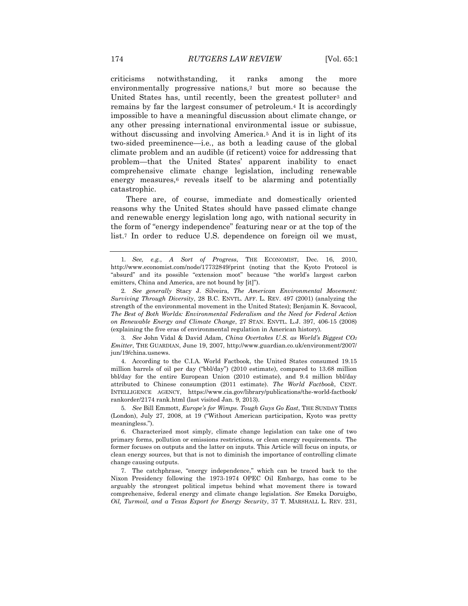criticisms notwithstanding, it ranks among the more environmentally progressive nations,<sup>2</sup> but more so because the United States has, until recently, been the greatest polluter<sup>3</sup> and remains by far the largest consumer of petroleum.<sup>4</sup> It is accordingly impossible to have a meaningful discussion about climate change, or any other pressing international environmental issue or subissue, without discussing and involving America.<sup>5</sup> And it is in light of its two-sided preeminence—i.e*.*, as both a leading cause of the global climate problem and an audible (if reticent) voice for addressing that problem—that the United States' apparent inability to enact comprehensive climate change legislation, including renewable energy measures,<sup>6</sup> reveals itself to be alarming and potentially catastrophic.

There are, of course, immediate and domestically oriented reasons why the United States should have passed climate change and renewable energy legislation long ago, with national security in the form of "energy independence" featuring near or at the top of the list.<sup>7</sup> In order to reduce U.S. dependence on foreign oil we must,

3*. See* John Vidal & David Adam, *China Overtakes U.S. as World's Biggest CO<sup>2</sup> Emitter*, THE GUARDIAN, June 19, 2007, http://www.guardian.co.uk/environment/2007/ jun/19/china.usnews.

4. According to the C.I.A. World Factbook, the United States consumed 19.15 million barrels of oil per day ("bbl/day") (2010 estimate), compared to 13.68 million bbl/day for the entire European Union (2010 estimate), and 9.4 million bbl/day attributed to Chinese consumption (2011 estimate). *The World Factbook*, CENT. INTELLIGENCE AGENCY, https://www.cia.gov/library/publications/the-world-factbook/ rankorder/2174 rank.html (last visited Jan. 9, 2013).

5*. See* Bill Emmott, *Europe's for Wimps. Tough Guys Go East*, THE SUNDAY TIMES (London), July 27, 2008, at 19 ("Without American participation, Kyoto was pretty meaningless.").

6. Characterized most simply, climate change legislation can take one of two primary forms, pollution or emissions restrictions, or clean energy requirements. The former focuses on outputs and the latter on inputs. This Article will focus on inputs, or clean energy sources, but that is not to diminish the importance of controlling climate change causing outputs.

7. The catchphrase, "energy independence," which can be traced back to the Nixon Presidency following the 1973-1974 OPEC Oil Embargo, has come to be arguably the strongest political impetus behind what movement there is toward comprehensive, federal energy and climate change legislation. *See* Emeka Doruigbo, *Oil, Turmoil, and a Texas Export for Energy Security*, 37 T. MARSHALL L. REV. 231,

<sup>1</sup>*. See, e.g.*, *A Sort of Progress*, THE ECONOMIST, Dec. 16, 2010, http://www.economist.com/node/17732849/print (noting that the Kyoto Protocol is "absurd" and its possible "extension moot" because "the world's largest carbon emitters, China and America, are not bound by [it]").

<sup>2</sup>*. See generally* Stacy J. Silveira, *The American Environmental Movement: Surviving Through Diversity*, 28 B.C. ENVTL. AFF. L. REV. 497 (2001) (analyzing the strength of the environmental movement in the United States); Benjamin K. Sovacool, *The Best of Both Worlds: Environmental Federalism and the Need for Federal Action on Renewable Energy and Climate Change*, 27 STAN. ENVTL. L.J. 397, 406-15 (2008) (explaining the five eras of environmental regulation in American history).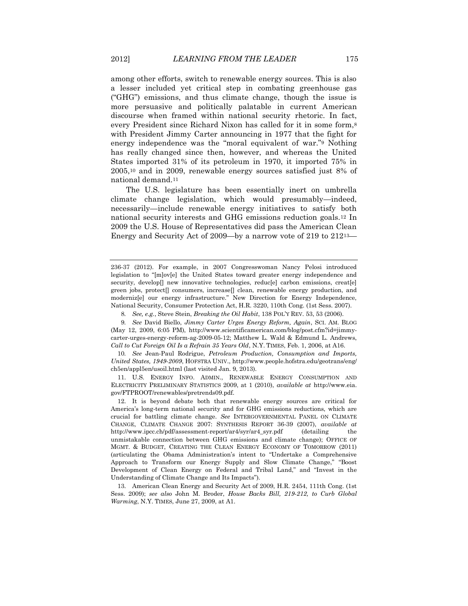among other efforts, switch to renewable energy sources. This is also a lesser included yet critical step in combating greenhouse gas ("GHG") emissions, and thus climate change, though the issue is more persuasive and politically palatable in current American discourse when framed within national security rhetoric. In fact, every President since Richard Nixon has called for it in some form,<sup>8</sup> with President Jimmy Carter announcing in 1977 that the fight for energy independence was the "moral equivalent of war."<sup>9</sup> Nothing has really changed since then, however, and whereas the United States imported 31% of its petroleum in 1970, it imported 75% in 2005,<sup>10</sup> and in 2009, renewable energy sources satisfied just 8% of national demand.<sup>11</sup>

The U.S. legislature has been essentially inert on umbrella climate change legislation, which would presumably—indeed, necessarily—include renewable energy initiatives to satisfy both national security interests and GHG emissions reduction goals.<sup>12</sup> In 2009 the U.S. House of Representatives did pass the American Clean Energy and Security Act of 2009—by a narrow vote of 219 to 21213—

<sup>236-37</sup> (2012). For example, in 2007 Congresswoman Nancy Pelosi introduced legislation to "[m]ov[e] the United States toward greater energy independence and security, develop[] new innovative technologies, reduc[e] carbon emissions, creat[e] green jobs, protect[] consumers, increase[] clean, renewable energy production, and moderniz[e] our energy infrastructure." New Direction for Energy Independence, National Security, Consumer Protection Act, H.R. 3220, 110th Cong. (1st Sess. 2007).

<sup>8</sup>*. See, e.g.*, Steve Stein, *Breaking the Oil Habit*, 138 POL'Y REV. 53, 53 (2006).

<sup>9</sup>*. See* David Biello, *Jimmy Carter Urges Energy Reform, Again*, SCI. AM. BLOG (May 12, 2009, 6:05 PM), http://www.scientificamerican.com/blog/post.cfm?id=jimmycarter-urges-energy-reform-ag-2009-05-12; Matthew L. Wald & Edmund L. Andrews, *Call to Cut Foreign Oil Is a Refrain 35 Years Old*, N.Y. TIMES, Feb. 1, 2006, at A16.

<sup>10</sup>*. See* Jean-Paul Rodrigue, *Petroleum Production, Consumption and Imports, United States, 1949-2009*, HOFSTRA UNIV., http://www.people.hofstra.edu/geotrans/eng/ ch5en/appl5en/usoil.html (last visited Jan. 9, 2013).

<sup>11.</sup> U.S. ENERGY INFO. ADMIN., RENEWABLE ENERGY CONSUMPTION AND ELECTRICITY PRELIMINARY STATISTICS 2009, at 1 (2010), *available at* http://www.eia. gov/FTPROOT/renewables/pretrends09.pdf.

<sup>12.</sup> It is beyond debate both that renewable energy sources are critical for America's long-term national security and for GHG emissions reductions, which are crucial for battling climate change. *See* INTERGOVERNMENTAL PANEL ON CLIMATE CHANGE, CLIMATE CHANGE 2007: SYNTHESIS REPORT 36-39 (2007), *available at*  http://www.ipcc.ch/pdf/assessment-report/ar4/syr/ar4\_syr.pdf (detailing the unmistakable connection between GHG emissions and climate change); OFFICE OF MGMT. & BUDGET, CREATING THE CLEAN ENERGY ECONOMY OF TOMORROW (2011) (articulating the Obama Administration's intent to "Undertake a Comprehensive Approach to Transform our Energy Supply and Slow Climate Change," "Boost Development of Clean Energy on Federal and Tribal Land," and "Invest in the Understanding of Climate Change and Its Impacts").

<sup>13.</sup> American Clean Energy and Security Act of 2009, H.R. 2454, 111th Cong. (1st Sess. 2009); *see also* John M. Broder, *House Backs Bill, 219-212, to Curb Global Warming*, N.Y. TIMES, June 27, 2009, at A1.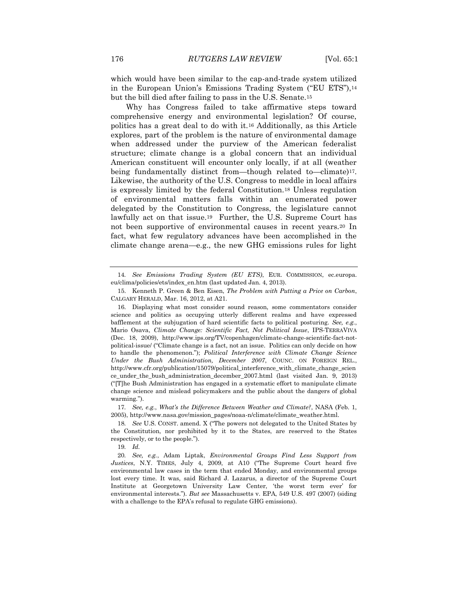which would have been similar to the cap-and-trade system utilized in the European Union's Emissions Trading System ("EU ETS"),<sup>14</sup> but the bill died after failing to pass in the U.S. Senate.<sup>15</sup>

Why has Congress failed to take affirmative steps toward comprehensive energy and environmental legislation? Of course, politics has a great deal to do with it.<sup>16</sup> Additionally, as this Article explores, part of the problem is the nature of environmental damage when addressed under the purview of the American federalist structure; climate change is a global concern that an individual American constituent will encounter only locally, if at all (weather being fundamentally distinct from—though related to—climate)17. Likewise, the authority of the U.S. Congress to meddle in local affairs is expressly limited by the federal Constitution.<sup>18</sup> Unless regulation of environmental matters falls within an enumerated power delegated by the Constitution to Congress, the legislature cannot lawfully act on that issue.19 Further, the U.S. Supreme Court has not been supportive of environmental causes in recent years.<sup>20</sup> In fact, what few regulatory advances have been accomplished in the climate change arena—e.g., the new GHG emissions rules for light

17*. See, e.g.*, *What's the Difference Between Weather and Climate?*, NASA (Feb. 1, 2005), http://www.nasa.gov/mission\_pages/noaa-n/climate/climate\_weather.html.

18*. See* U.S. CONST. amend. X ("The powers not delegated to the United States by the Constitution, nor prohibited by it to the States, are reserved to the States respectively, or to the people*.*").

19*. Id.*

<sup>14</sup>*. See Emissions Trading System (EU ETS)*, EUR. COMMISSION, ec.europa. eu/clima/policies/ets/index\_en.htm (last updated Jan. 4, 2013).

<sup>15.</sup> Kenneth P. Green & Ben Eisen, *The Problem with Putting a Price on Carbon*, CALGARY HERALD, Mar. 16, 2012, at A21.

<sup>16.</sup> Displaying what most consider sound reason, some commentators consider science and politics as occupying utterly different realms and have expressed bafflement at the subjugation of hard scientific facts to political posturing. *See, e.g.*, Mario Osava, *Climate Change: Scientific Fact, Not Political Issue*, IPS-TERRAVIVA (Dec. 18, 2009), http://www.ips.org/TV/copenhagen/climate-change-scientific-fact-notpolitical-issue/ ("Climate change is a fact, not an issue. Politics can only decide on how to handle the phenomenon."); *Political Interference with Climate Change Science Under the Bush Administration, December 2007*, COUNC. ON FOREIGN REL., http://www.cfr.org/publication/15079/political\_interference\_with\_climate\_change\_scien ce\_under\_the\_bush\_administration\_december\_2007.html (last visited Jan. 9, 2013) ("[T]he Bush Administration has engaged in a systematic effort to manipulate climate change science and mislead policymakers and the public about the dangers of global warming*.*").

<sup>20</sup>*. See, e.g.*, Adam Liptak, *Environmental Groups Find Less Support from Justices*, N.Y. TIMES, July 4, 2009, at A10 ("The Supreme Court heard five environmental law cases in the term that ended Monday, and environmental groups lost every time. It was, said Richard J. Lazarus, a director of the Supreme Court Institute at Georgetown University Law Center, 'the worst term ever' for environmental interests."). *But see* Massachusetts v. EPA, 549 U.S. 497 (2007) (siding with a challenge to the EPA's refusal to regulate GHG emissions).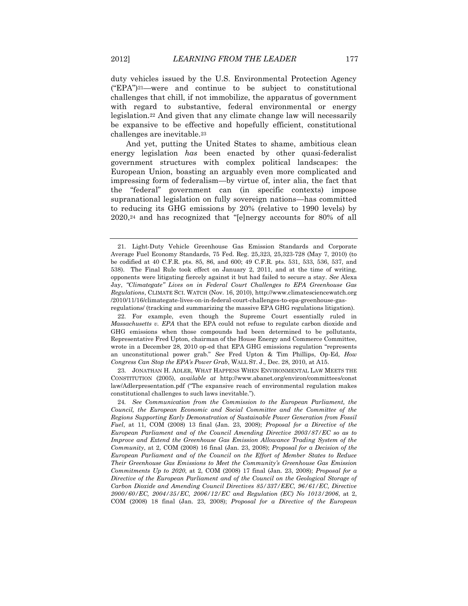duty vehicles issued by the U.S. Environmental Protection Agency ("EPA")21—were and continue to be subject to constitutional challenges that chill, if not immobilize, the apparatus of government with regard to substantive, federal environmental or energy legislation.<sup>22</sup> And given that any climate change law will necessarily be expansive to be effective and hopefully efficient, constitutional challenges are inevitable.<sup>23</sup>

And yet, putting the United States to shame, ambitious clean energy legislation *has* been enacted by other quasi-federalist government structures with complex political landscapes: the European Union, boasting an arguably even more complicated and impressing form of federalism—by virtue of, inter alia, the fact that the "federal" government can (in specific contexts) impose supranational legislation on fully sovereign nations—has committed to reducing its GHG emissions by 20% (relative to 1990 levels) by 2020,<sup>24</sup> and has recognized that "[e]nergy accounts for 80% of all

23. JONATHAN H. ADLER, WHAT HAPPENS WHEN ENVIRONMENTAL LAW MEETS THE CONSTITUTION (2005), *available at* http://www.abanet.org/environ/committees/const law/Adlerpresentation.pdf ("The expansive reach of environmental regulation makes constitutional challenges to such laws inevitable.").

<sup>21.</sup> Light-Duty Vehicle Greenhouse Gas Emission Standards and Corporate Average Fuel Economy Standards, 75 Fed. Reg. 25,323, 25,323-728 (May 7, 2010) (to be codified at 40 C.F.R. pts. 85, 86, and 600; 49 C.F.R. pts. 531, 533, 536, 537, and 538). The Final Rule took effect on January 2, 2011, and at the time of writing, opponents were litigating fiercely against it but had failed to secure a stay. *See* Alexa Jay, *"Climategate" Lives on in Federal Court Challenges to EPA Greenhouse Gas Regulations*, CLIMATE SCI. WATCH (Nov. 16, 2010), http://www.climatesciencewatch.org /2010/11/16/climategate-lives-on-in-federal-court-challenges-to-epa-greenhouse-gasregulations/ (tracking and summarizing the massive EPA GHG regulations litigation).

<sup>22.</sup> For example, even though the Supreme Court essentially ruled in *Massachusetts v. EPA* that the EPA could not refuse to regulate carbon dioxide and GHG emissions when those compounds had been determined to be pollutants, Representative Fred Upton, chairman of the House Energy and Commerce Committee, wrote in a December 28, 2010 op-ed that EPA GHG emissions regulation "represents an unconstitutional power grab." *See* Fred Upton & Tim Phillips, Op-Ed, *How Congress Can Stop the EPA's Power Grab*, WALL ST. J., Dec. 28, 2010, at A15.

<sup>24</sup>*. See Communication from the Commission to the European Parliament, the Council, the European Economic and Social Committee and the Committee of the Regions Supporting Early Demonstration of Sustainable Power Generation from Fossil Fuel*, at 11, COM (2008) 13 final (Jan. 23, 2008); *Proposal for a Directive of the European Parliament and of the Council Amending Directive 2003/87/EC so as to Improve and Extend the Greenhouse Gas Emission Allowance Trading System of the Community*, at 2, COM (2008) 16 final (Jan. 23, 2008); *Proposal for a Decision of the European Parliament and of the Council on the Effort of Member States to Reduce Their Greenhouse Gas Emissions to Meet the Community's Greenhouse Gas Emission Commitments Up to 2020*, at 2, COM (2008) 17 final (Jan. 23, 2008); *Proposal for a Directive of the European Parliament and of the Council on the Geological Storage of Carbon Dioxide and Amending Council Directives 85/337/EEC, 96/61/EC, Directive 2000/60/EC, 2004/35/EC, 2006/12/EC and Regulation (EC) No 1013/2006*, at 2, COM (2008) 18 final (Jan. 23, 2008); *Proposal for a Directive of the European*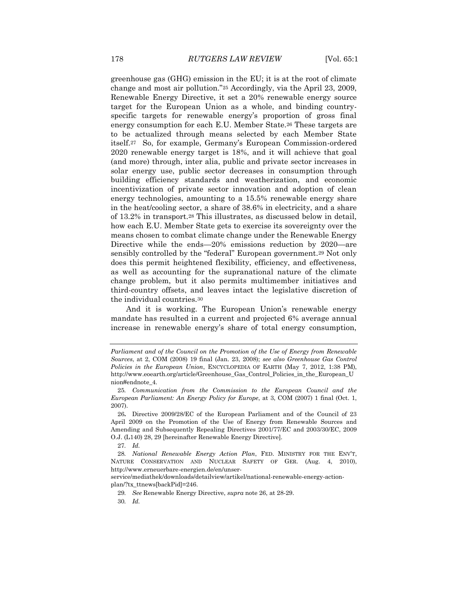greenhouse gas (GHG) emission in the EU; it is at the root of climate change and most air pollution."<sup>25</sup> Accordingly, via the April 23, 2009, Renewable Energy Directive, it set a 20% renewable energy source target for the European Union as a whole, and binding countryspecific targets for renewable energy's proportion of gross final energy consumption for each E.U. Member State.<sup>26</sup> These targets are to be actualized through means selected by each Member State itself.<sup>27</sup> So, for example, Germany's European Commission-ordered 2020 renewable energy target is 18%, and it will achieve that goal (and more) through, inter alia, public and private sector increases in solar energy use, public sector decreases in consumption through building efficiency standards and weatherization, and economic incentivization of private sector innovation and adoption of clean energy technologies, amounting to a 15.5% renewable energy share in the heat/cooling sector, a share of 38.6% in electricity, and a share of 13.2% in transport.<sup>28</sup> This illustrates, as discussed below in detail, how each E.U. Member State gets to exercise its sovereignty over the means chosen to combat climate change under the Renewable Energy Directive while the ends—20% emissions reduction by 2020—are sensibly controlled by the "federal" European government.<sup>29</sup> Not only does this permit heightened flexibility, efficiency, and effectiveness, as well as accounting for the supranational nature of the climate change problem, but it also permits multimember initiatives and third-country offsets, and leaves intact the legislative discretion of the individual countries.<sup>30</sup>

And it is working. The European Union's renewable energy mandate has resulted in a current and projected 6% average annual increase in renewable energy's share of total energy consumption,

27*. Id.*

*Parliament and of the Council on the Promotion of the Use of Energy from Renewable Sources*, at 2, COM (2008) 19 final (Jan. 23, 2008); *see also Greenhouse Gas Control Policies in the European Union*, ENCYCLOPEDIA OF EARTH (May 7, 2012, 1:38 PM), http://www.eoearth.org/article/Greenhouse\_Gas\_Control\_Policies\_in\_the\_European\_U nion#endnote\_4.

<sup>25</sup>*. Communication from the Commission to the European Council and the European Parliament: An Energy Policy for Europe*, at 3, COM (2007) 1 final (Oct. 1, 2007).

<sup>26</sup>**.** Directive 2009/28/EC of the European Parliament and of the Council of 23 April 2009 on the Promotion of the Use of Energy from Renewable Sources and Amending and Subsequently Repealing Directives 2001/77/EC and 2003/30/EC, 2009 O.J. (L140) 28, 29 [hereinafter Renewable Energy Directive].

<sup>28</sup>*. National Renewable Energy Action Plan*, FED. MINISTRY FOR THE ENV'T, NATURE CONSERVATION AND NUCLEAR SAFETY OF GER. (Aug. 4, 2010), http://www.erneuerbare-energien.de/en/unser-

service/mediathek/downloads/detailview/artikel/national-renewable-energy-actionplan/?tx\_ttnews[backPid]=246.

<sup>29</sup>*. See* Renewable Energy Directive, *supra* note 26, at 28-29.

<sup>30</sup>*. Id.*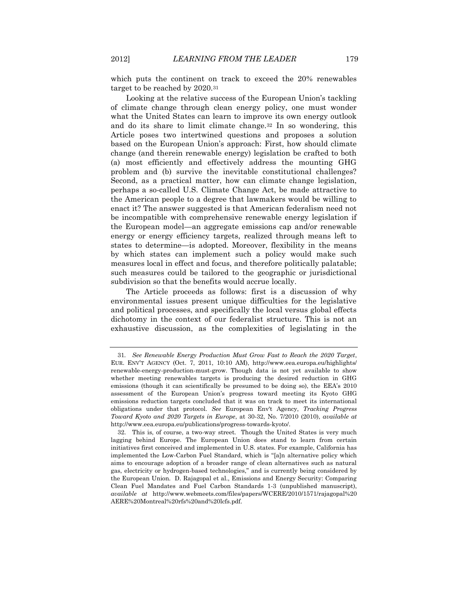which puts the continent on track to exceed the 20% renewables target to be reached by 2020.<sup>31</sup>

Looking at the relative success of the European Union's tackling of climate change through clean energy policy, one must wonder what the United States can learn to improve its own energy outlook and do its share to limit climate change.<sup>32</sup> In so wondering, this Article poses two intertwined questions and proposes a solution based on the European Union's approach: First, how should climate change (and therein renewable energy) legislation be crafted to both (a) most efficiently and effectively address the mounting GHG problem and (b) survive the inevitable constitutional challenges? Second, as a practical matter, how can climate change legislation, perhaps a so-called U.S. Climate Change Act, be made attractive to the American people to a degree that lawmakers would be willing to enact it? The answer suggested is that American federalism need not be incompatible with comprehensive renewable energy legislation if the European model—an aggregate emissions cap and/or renewable energy or energy efficiency targets, realized through means left to states to determine—is adopted. Moreover, flexibility in the means by which states can implement such a policy would make such measures local in effect and focus, and therefore politically palatable; such measures could be tailored to the geographic or jurisdictional subdivision so that the benefits would accrue locally.

The Article proceeds as follows: first is a discussion of why environmental issues present unique difficulties for the legislative and political processes, and specifically the local versus global effects dichotomy in the context of our federalist structure. This is not an exhaustive discussion, as the complexities of legislating in the

<sup>31</sup>*. See Renewable Energy Production Must Grow Fast to Reach the 2020 Target*, EUR. ENV'T AGENCY (Oct. 7, 2011, 10:10 AM), http://www.eea.europa.eu/highlights/ renewable-energy-production-must-grow. Though data is not yet available to show whether meeting renewables targets is producing the desired reduction in GHG emissions (though it can scientifically be presumed to be doing so), the EEA's 2010 assessment of the European Union's progress toward meeting its Kyoto GHG emissions reduction targets concluded that it was on track to meet its international obligations under that protocol. *See* European Env't Agency, *Tracking Progress Toward Kyoto and 2020 Targets in Europe*, at 30-32, No. 7/2010 (2010), *available at* http://www.eea.europa.eu/publications/progress-towards-kyoto/.

<sup>32.</sup> This is, of course, a two-way street. Though the United States is very much lagging behind Europe. The European Union does stand to learn from certain initiatives first conceived and implemented in U.S. states. For example, California has implemented the Low-Carbon Fuel Standard, which is "[a]n alternative policy which aims to encourage adoption of a broader range of clean alternatives such as natural gas, electricity or hydrogen-based technologies," and is currently being considered by the European Union. D. Rajagopal et al., Emissions and Energy Security: Comparing Clean Fuel Mandates and Fuel Carbon Standards 1-3 (unpublished manuscript), *available at* http://www.webmeets.com/files/papers/WCERE/2010/1571/rajagopal%20 AERE%20Montreal%20rfs%20and%20lcfs.pdf.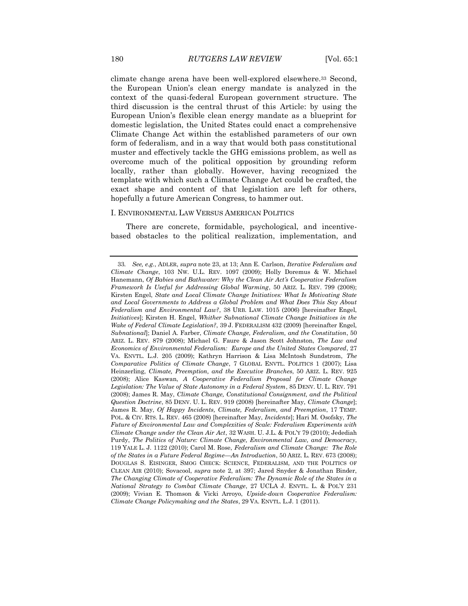climate change arena have been well-explored elsewhere.<sup>33</sup> Second, the European Union's clean energy mandate is analyzed in the context of the quasi-federal European government structure. The third discussion is the central thrust of this Article: by using the European Union's flexible clean energy mandate as a blueprint for domestic legislation, the United States could enact a comprehensive Climate Change Act within the established parameters of our own form of federalism, and in a way that would both pass constitutional muster and effectively tackle the GHG emissions problem, as well as overcome much of the political opposition by grounding reform locally, rather than globally. However, having recognized the template with which such a Climate Change Act could be crafted, the exact shape and content of that legislation are left for others, hopefully a future American Congress, to hammer out.

#### I. ENVIRONMENTAL LAW VERSUS AMERICAN POLITICS

There are concrete, formidable, psychological, and incentivebased obstacles to the political realization, implementation, and

<sup>33</sup>*. See, e.g.*, ADLER, *supra* note 23, at 13; Ann E. Carlson, *Iterative Federalism and Climate Change*, 103 NW. U.L. REV. 1097 (2009); Holly Doremus & W. Michael Hanemann, *Of Babies and Bathwater: Why the Clean Air Act's Cooperative Federalism Framework Is Useful for Addressing Global Warming*, 50 ARIZ. L. REV. 799 (2008); Kirsten Engel, *State and Local Climate Change Initiatives: What Is Motivating State and Local Governments to Address a Global Problem and What Does This Say About Federalism and Environmental Law?*, 38 URB. LAW. 1015 (2006) [hereinafter Engel, *Initiatives*]; Kirsten H. Engel, *Whither Subnational Climate Change Initiatives in the Wake of Federal Climate Legislation?*, 39 J. FEDERALISM 432 (2009) [hereinafter Engel, *Subnational*]; Daniel A. Farber, *Climate Change, Federalism, and the Constitution*, 50 ARIZ. L. REV. 879 (2008); Michael G. Faure & Jason Scott Johnston, *The Law and Economics of Environmental Federalism: Europe and the United States Compared*, 27 VA. ENVTL. L.J. 205 (2009); Kathryn Harrison & Lisa McIntosh Sundstrom, *The Comparative Politics of Climate Change*, 7 GLOBAL ENVTL. POLITICS 1 (2007); Lisa Heinzerling, *Climate, Preemption, and the Executive Branches*, 50 ARIZ. L. REV. 925 (2008); Alice Kaswan, *A Cooperative Federalism Proposal for Climate Change Legislation: The Value of State Autonomy in a Federal System*, 85 DENV. U. L. REV. 791 (2008); James R. May, *Climate Change, Constitutional Consignment, and the Political Question Doctrine*, 85 DENV. U. L. REV. 919 (2008) [hereinafter May, *Climate Change*]; James R. May, *Of Happy Incidents, Climate, Federalism, and Preemption*, 17 TEMP. POL. & CIV. RTS. L. REV. 465 (2008) [hereinafter May, *Incidents*]; Hari M. Osofsky, *The Future of Environmental Law and Complexities of Scale: Federalism Experiments with Climate Change under the Clean Air Act*, 32 WASH. U. J.L. & POL'Y 79 (2010); Jedediah Purdy, *The Politics of Nature: Climate Change, Environmental Law, and Democracy*, 119 YALE L. J. 1122 (2010); Carol M. Rose, *Federalism and Climate Change: The Role of the States in a Future Federal Regime—An Introduction*, 50 ARIZ. L. REV. 673 (2008); DOUGLAS S. EISINGER, SMOG CHECK: SCIENCE, FEDERALISM, AND THE POLITICS OF CLEAN AIR (2010); Sovacool, *supra* note 2, at 397; Jared Snyder & Jonathan Binder, *The Changing Climate of Cooperative Federalism: The Dynamic Role of the States in a National Strategy to Combat Climate Change*, 27 UCLA J. ENVTL. L. & POL'Y 231 (2009); Vivian E. Thomson & Vicki Arroyo, *Upside-down Cooperative Federalism: Climate Change Policymaking and the States*, 29 VA. ENVTL. L.J. 1 (2011).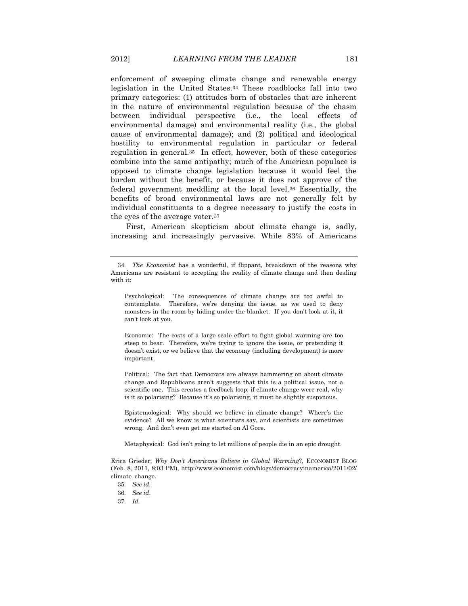enforcement of sweeping climate change and renewable energy legislation in the United States.<sup>34</sup> These roadblocks fall into two primary categories: (1) attitudes born of obstacles that are inherent in the nature of environmental regulation because of the chasm between individual perspective (i.e., the local effects of environmental damage) and environmental reality (i.e*.*, the global cause of environmental damage); and (2) political and ideological hostility to environmental regulation in particular or federal regulation in general.35 In effect, however, both of these categories combine into the same antipathy; much of the American populace is opposed to climate change legislation because it would feel the burden without the benefit, or because it does not approve of the federal government meddling at the local level.<sup>36</sup> Essentially, the benefits of broad environmental laws are not generally felt by individual constituents to a degree necessary to justify the costs in the eyes of the average voter.<sup>37</sup>

First, American skepticism about climate change is, sadly, increasing and increasingly pervasive. While 83% of Americans

Economic: The costs of a large-scale effort to fight global warming are too steep to bear. Therefore, we're trying to ignore the issue, or pretending it doesn't exist, or we believe that the economy (including development) is more important.

Political: The fact that Democrats are always hammering on about climate change and Republicans aren't suggests that this is a political issue, not a scientific one. This creates a feedback loop: if climate change were real, why is it so polarising? Because it's so polarising, it must be slightly suspicious.

Epistemological: Why should we believe in climate change? Where's the evidence? All we know is what scientists say, and scientists are sometimes wrong. And don't even get me started on Al Gore.

Metaphysical: God isn't going to let millions of people die in an epic drought.

Erica Grieder, *Why Don't Americans Believe in Global Warming*?, ECONOMIST BLOG (Feb. 8, 2011, 8:03 PM), http://www.economist.com/blogs/democracyinamerica/2011/02/ climate\_change.

<sup>34</sup>*. The Economist* has a wonderful, if flippant, breakdown of the reasons why Americans are resistant to accepting the reality of climate change and then dealing with it:

Psychological: The consequences of climate change are too awful to contemplate. Therefore, we're denying the issue, as we used to deny monsters in the room by hiding under the blanket. If you don't look at it, it can't look at you.

<sup>35</sup>*. See id.*

<sup>36</sup>*. See id.*

<sup>37</sup>*. Id.*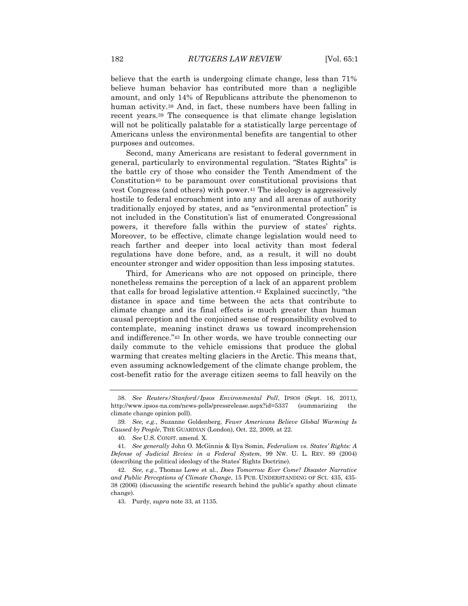believe that the earth is undergoing climate change, less than 71% believe human behavior has contributed more than a negligible amount, and only 14% of Republicans attribute the phenomenon to human activity.<sup>38</sup> And, in fact, these numbers have been falling in recent years.<sup>39</sup> The consequence is that climate change legislation will not be politically palatable for a statistically large percentage of Americans unless the environmental benefits are tangential to other purposes and outcomes.

Second, many Americans are resistant to federal government in general, particularly to environmental regulation. "States Rights" is the battle cry of those who consider the Tenth Amendment of the Constitution<sup>40</sup> to be paramount over constitutional provisions that vest Congress (and others) with power.<sup>41</sup> The ideology is aggressively hostile to federal encroachment into any and all arenas of authority traditionally enjoyed by states, and as "environmental protection" is not included in the Constitution's list of enumerated Congressional powers, it therefore falls within the purview of states' rights. Moreover, to be effective, climate change legislation would need to reach farther and deeper into local activity than most federal regulations have done before, and, as a result, it will no doubt encounter stronger and wider opposition than less imposing statutes.

Third, for Americans who are not opposed on principle, there nonetheless remains the perception of a lack of an apparent problem that calls for broad legislative attention.<sup>42</sup> Explained succinctly, "the distance in space and time between the acts that contribute to climate change and its final effects is much greater than human causal perception and the conjoined sense of responsibility evolved to contemplate, meaning instinct draws us toward incomprehension and indifference*.*"<sup>43</sup> In other words, we have trouble connecting our daily commute to the vehicle emissions that produce the global warming that creates melting glaciers in the Arctic. This means that, even assuming acknowledgement of the climate change problem, the cost-benefit ratio for the average citizen seems to fall heavily on the

<sup>38</sup>*. See Reuters/Stanford/Ipsos Environmental Poll*, IPSOS (Sept. 16, 2011), http://www.ipsos-na.com/news-polls/pressrelease.aspx?id=5337 (summarizing the climate change opinion poll).

<sup>39</sup>*. See, e.g.*, Suzanne Goldenberg, *Fewer Americans Believe Global Warming Is Caused by People*, THE GUARDIAN (London), Oct. 22, 2009, at 22.

<sup>40</sup>*. See* U.S. CONST. amend. X.

<sup>41</sup>*. See generally* John O. McGinnis & Ilya Somin, *Federalism vs. States' Rights: A Defense of Judicial Review in a Federal System*, 99 NW. U. L. REV. 89 (2004) (describing the political ideology of the States' Rights Doctrine).

<sup>42</sup>*. See, e.g.*, Thomas Lowe et al*.*, *Does Tomorrow Ever Come? Disaster Narrative and Public Perceptions of Climate Change*, 15 PUB. UNDERSTANDING OF SCI. 435, 435- 38 (2006) (discussing the scientific research behind the public's apathy about climate change).

<sup>43.</sup> Purdy, *supra* note 33, at 1135.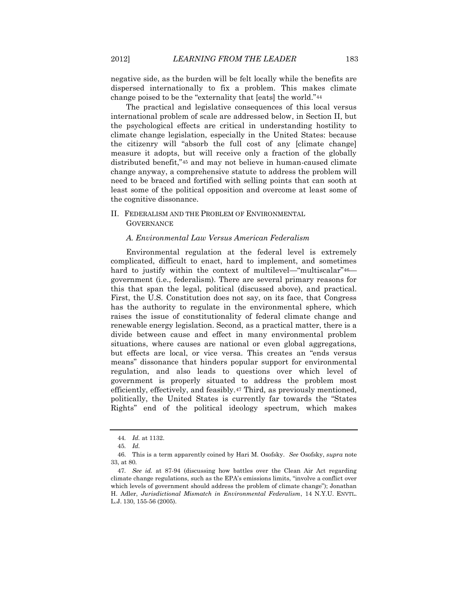negative side, as the burden will be felt locally while the benefits are dispersed internationally to fix a problem. This makes climate change poised to be the "externality that [eats] the world."<sup>44</sup>

The practical and legislative consequences of this local versus international problem of scale are addressed below, in Section II, but the psychological effects are critical in understanding hostility to climate change legislation, especially in the United States: because the citizenry will "absorb the full cost of any [climate change] measure it adopts, but will receive only a fraction of the globally distributed benefit,"<sup>45</sup> and may not believe in human-caused climate change anyway, a comprehensive statute to address the problem will need to be braced and fortified with selling points that can sooth at least some of the political opposition and overcome at least some of the cognitive dissonance.

# II. FEDERALISM AND THE PROBLEM OF ENVIRONMENTAL **GOVERNANCE**

### *A. Environmental Law Versus American Federalism*

Environmental regulation at the federal level is extremely complicated, difficult to enact, hard to implement, and sometimes hard to justify within the context of multilevel—"multiscalar"<sup>46</sup> government (i.e., federalism). There are several primary reasons for this that span the legal, political (discussed above), and practical. First, the U.S. Constitution does not say, on its face, that Congress has the authority to regulate in the environmental sphere, which raises the issue of constitutionality of federal climate change and renewable energy legislation. Second, as a practical matter, there is a divide between cause and effect in many environmental problem situations, where causes are national or even global aggregations, but effects are local, or vice versa. This creates an "ends versus means" dissonance that hinders popular support for environmental regulation, and also leads to questions over which level of government is properly situated to address the problem most efficiently, effectively, and feasibly.<sup>47</sup> Third, as previously mentioned, politically, the United States is currently far towards the "States Rights" end of the political ideology spectrum, which makes

<sup>44</sup>*. Id.* at 1132.

<sup>45</sup>*. Id.*

<sup>46.</sup> This is a term apparently coined by Hari M. Osofsky. *See* Osofsky, *supra* note 33, at 80.

<sup>47</sup>*. See id.* at 87-94 (discussing how battles over the Clean Air Act regarding climate change regulations, such as the EPA's emissions limits, "involve a conflict over which levels of government should address the problem of climate change"); Jonathan H. Adler, *Jurisdictional Mismatch in Environmental Federalism*, 14 N.Y.U. ENVTL. L.J. 130, 155-56 (2005).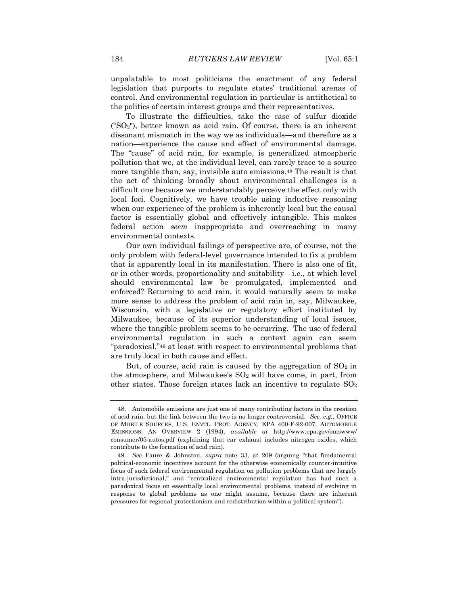unpalatable to most politicians the enactment of any federal legislation that purports to regulate states' traditional arenas of control. And environmental regulation in particular is antithetical to the politics of certain interest groups and their representatives.

To illustrate the difficulties, take the case of sulfur dioxide ("SO2"), better known as acid rain. Of course, there is an inherent dissonant mismatch in the way we as individuals—and therefore as a nation—experience the cause and effect of environmental damage. The "cause" of acid rain, for example, is generalized atmospheric pollution that we, at the individual level, can rarely trace to a source more tangible than, say, invisible auto emissions.<sup>48</sup> The result is that the act of thinking broadly about environmental challenges is a difficult one because we understandably perceive the effect only with local foci. Cognitively, we have trouble using inductive reasoning when our experience of the problem is inherently local but the causal factor is essentially global and effectively intangible. This makes federal action *seem* inappropriate and overreaching in many environmental contexts.

Our own individual failings of perspective are, of course, not the only problem with federal-level governance intended to fix a problem that is apparently local in its manifestation. There is also one of fit, or in other words, proportionality and suitability—i.e., at which level should environmental law be promulgated, implemented and enforced? Returning to acid rain, it would naturally seem to make more sense to address the problem of acid rain in, say, Milwaukee, Wisconsin, with a legislative or regulatory effort instituted by Milwaukee, because of its superior understanding of local issues, where the tangible problem seems to be occurring. The use of federal environmental regulation in such a context again can seem "paradoxical,"<sup>49</sup> at least with respect to environmental problems that are truly local in both cause and effect.

But, of course, acid rain is caused by the aggregation of  $SO<sub>2</sub>$  in the atmosphere, and Milwaukee's  $SO<sub>2</sub>$  will have come, in part, from other states. Those foreign states lack an incentive to regulate  $SO<sub>2</sub>$ 

<sup>48.</sup> Automobile emissions are just one of many contributing factors in the creation of acid rain, but the link between the two is no longer controversial. *See, e.g.*, OFFICE OF MOBILE SOURCES, U.S. ENVTL. PROT. AGENCY, EPA 400-F-92-007, AUTOMOBILE EMISSIONS: AN OVERVIEW 2 (1994), *available at* http://www.epa.gov/omswww/ consumer/05-autos.pdf (explaining that car exhaust includes nitrogen oxides, which contribute to the formation of acid rain)*.*

<sup>49</sup>*. See* Faure & Johnston, *supra* note 33, at 209 (arguing "that fundamental political-economic incentives account for the otherwise economically counter-intuitive focus of such federal environmental regulation on pollution problems that are largely intra-jurisdictional," and "centralized environmental regulation has had such a paradoxical focus on essentially local environmental problems, instead of evolving in response to global problems as one might assume, because there are inherent pressures for regional protectionism and redistribution within a political system").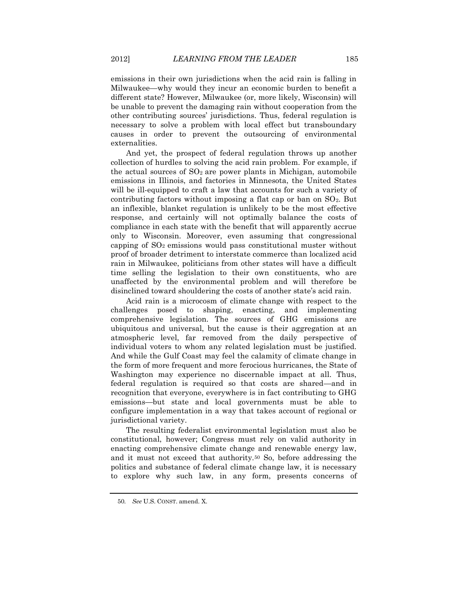emissions in their own jurisdictions when the acid rain is falling in Milwaukee—why would they incur an economic burden to benefit a different state? However, Milwaukee (or, more likely, Wisconsin) will be unable to prevent the damaging rain without cooperation from the other contributing sources' jurisdictions. Thus, federal regulation is necessary to solve a problem with local effect but transboundary causes in order to prevent the outsourcing of environmental externalities.

And yet, the prospect of federal regulation throws up another collection of hurdles to solving the acid rain problem. For example, if the actual sources of  $SO<sub>2</sub>$  are power plants in Michigan, automobile emissions in Illinois, and factories in Minnesota, the United States will be ill-equipped to craft a law that accounts for such a variety of contributing factors without imposing a flat cap or ban on  $SO<sub>2</sub>$ . But an inflexible, blanket regulation is unlikely to be the most effective response, and certainly will not optimally balance the costs of compliance in each state with the benefit that will apparently accrue only to Wisconsin. Moreover, even assuming that congressional capping of  $SO<sub>2</sub>$  emissions would pass constitutional muster without proof of broader detriment to interstate commerce than localized acid rain in Milwaukee, politicians from other states will have a difficult time selling the legislation to their own constituents, who are unaffected by the environmental problem and will therefore be disinclined toward shouldering the costs of another state's acid rain.

Acid rain is a microcosm of climate change with respect to the challenges posed to shaping, enacting, and implementing comprehensive legislation. The sources of GHG emissions are ubiquitous and universal, but the cause is their aggregation at an atmospheric level, far removed from the daily perspective of individual voters to whom any related legislation must be justified. And while the Gulf Coast may feel the calamity of climate change in the form of more frequent and more ferocious hurricanes, the State of Washington may experience no discernable impact at all. Thus, federal regulation is required so that costs are shared—and in recognition that everyone, everywhere is in fact contributing to GHG emissions—but state and local governments must be able to configure implementation in a way that takes account of regional or jurisdictional variety.

The resulting federalist environmental legislation must also be constitutional, however; Congress must rely on valid authority in enacting comprehensive climate change and renewable energy law, and it must not exceed that authority.<sup>50</sup> So, before addressing the politics and substance of federal climate change law, it is necessary to explore why such law, in any form, presents concerns of

<sup>50</sup>*. See* U.S. CONST. amend. X.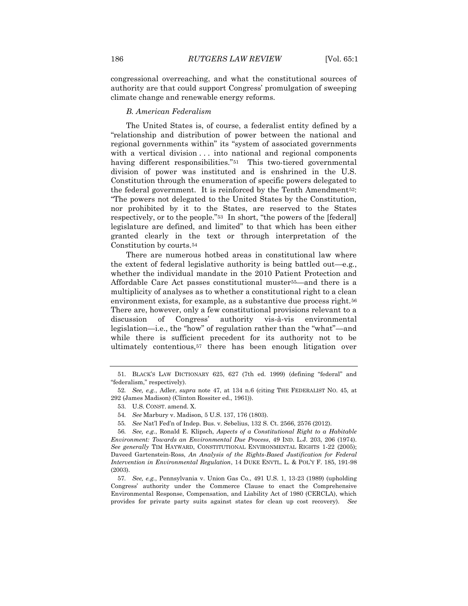congressional overreaching, and what the constitutional sources of authority are that could support Congress' promulgation of sweeping climate change and renewable energy reforms.

#### *B. American Federalism*

The United States is, of course, a federalist entity defined by a "relationship and distribution of power between the national and regional governments within" its "system of associated governments with a vertical division ... into national and regional components having different responsibilities."<sup>51</sup> This two-tiered governmental division of power was instituted and is enshrined in the U.S. Constitution through the enumeration of specific powers delegated to the federal government. It is reinforced by the Tenth Amendment52: "The powers not delegated to the United States by the Constitution, nor prohibited by it to the States, are reserved to the States respectively, or to the people."<sup>53</sup> In short, "the powers of the [federal] legislature are defined, and limited" to that which has been either granted clearly in the text or through interpretation of the Constitution by courts.<sup>54</sup>

There are numerous hotbed areas in constitutional law where the extent of federal legislative authority is being battled out—e.g*.*, whether the individual mandate in the 2010 Patient Protection and Affordable Care Act passes constitutional muster55—and there is a multiplicity of analyses as to whether a constitutional right to a clean environment exists, for example, as a substantive due process right.<sup>56</sup> There are, however, only a few constitutional provisions relevant to a discussion of Congress' authority vis-à-vis environmental legislation—i.e., the "how" of regulation rather than the "what"—and while there is sufficient precedent for its authority not to be ultimately contentious,<sup>57</sup> there has been enough litigation over

- 54*. See* Marbury v. Madison, 5 U.S. 137, 176 (1803).
- 55*. See* Nat'l Fed'n of Indep. Bus. v. Sebelius, 132 S. Ct. 2566, 2576 (2012).

<sup>51.</sup> BLACK'S LAW DICTIONARY 625, 627 (7th ed. 1999) (defining "federal" and "federalism," respectively).

<sup>52</sup>*. See, e.g.*, Adler, *supra* note 47, at 134 n.6 (citing THE FEDERALIST NO. 45, at 292 (James Madison) (Clinton Rossiter ed., 1961)).

<sup>53.</sup> U.S. CONST. amend. X.

<sup>56</sup>*. See, e.g.*, Ronald E. Klipsch, *Aspects of a Constitutional Right to a Habitable Environment: Towards an Environmental Due Process*, 49 IND. L.J. 203, 206 (1974). *See generally* TIM HAYWARD, CONSTITUTIONAL ENVIRONMENTAL RIGHTS 1-22 (2005); Daveed Gartenstein-Ross, *An Analysis of the Rights-Based Justification for Federal Intervention in Environmental Regulation*, 14 DUKE ENVTL. L. & POL'Y F. 185, 191-98 (2003).

<sup>57</sup>*. See, e.g.*, Pennsylvania v. Union Gas Co., 491 U.S. 1, 13-23 (1989) (upholding Congress' authority under the Commerce Clause to enact the Comprehensive Environmental Response, Compensation, and Liability Act of 1980 (CERCLA), which provides for private party suits against states for clean up cost recovery). *See*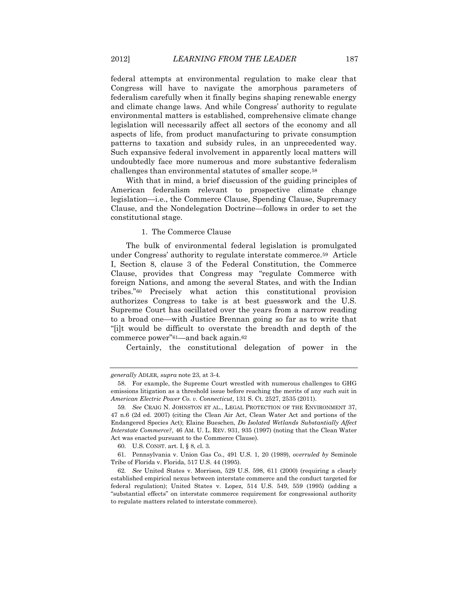federal attempts at environmental regulation to make clear that Congress will have to navigate the amorphous parameters of federalism carefully when it finally begins shaping renewable energy and climate change laws. And while Congress' authority to regulate environmental matters is established, comprehensive climate change legislation will necessarily affect all sectors of the economy and all aspects of life, from product manufacturing to private consumption patterns to taxation and subsidy rules, in an unprecedented way. Such expansive federal involvement in apparently local matters will undoubtedly face more numerous and more substantive federalism challenges than environmental statutes of smaller scope.<sup>58</sup>

With that in mind, a brief discussion of the guiding principles of American federalism relevant to prospective climate change legislation—i.e., the Commerce Clause, Spending Clause, Supremacy Clause, and the Nondelegation Doctrine—follows in order to set the constitutional stage.

### 1. The Commerce Clause

The bulk of environmental federal legislation is promulgated under Congress' authority to regulate interstate commerce.59 Article I, Section 8, clause 3 of the Federal Constitution, the Commerce Clause, provides that Congress may "regulate Commerce with foreign Nations, and among the several States, and with the Indian tribes."<sup>60</sup> Precisely what action this constitutional provision authorizes Congress to take is at best guesswork and the U.S. Supreme Court has oscillated over the years from a narrow reading to a broad one—with Justice Brennan going so far as to write that "[i]t would be difficult to overstate the breadth and depth of the commerce power"61—and back again.62

Certainly, the constitutional delegation of power in the

*generally* ADLER*, supra* note 23, at 3-4*.*

<sup>58.</sup> For example, the Supreme Court wrestled with numerous challenges to GHG emissions litigation as a threshold issue before reaching the merits of any such suit in *American Electric Power Co. v. Connecticut*, 131 S. Ct. 2527, 2535 (2011).

<sup>59</sup>*. See* CRAIG N. JOHNSTON ET AL., LEGAL PROTECTION OF THE ENVIRONMENT 37, 47 n.6 (2d ed. 2007) (citing the Clean Air Act, Clean Water Act and portions of the Endangered Species Act); Elaine Bueschen, *Do Isolated Wetlands Substantially Affect Interstate Commerce?*, 46 AM. U. L. REV. 931, 935 (1997) (noting that the Clean Water Act was enacted pursuant to the Commerce Clause).

<sup>60.</sup> U.S. CONST. art. I, § 8, cl. 3.

<sup>61.</sup> Pennsylvania v. Union Gas Co., 491 U.S. 1, 20 (1989), *overruled by* Seminole Tribe of Florida v. Florida, 517 U.S. 44 (1995).

<sup>62</sup>*. See* United States v. Morrison, 529 U.S. 598, 611 (2000) (requiring a clearly established empirical nexus between interstate commerce and the conduct targeted for federal regulation); United States v. Lopez, 514 U.S. 549, 559 (1995) (adding a "substantial effects" on interstate commerce requirement for congressional authority to regulate matters related to interstate commerce).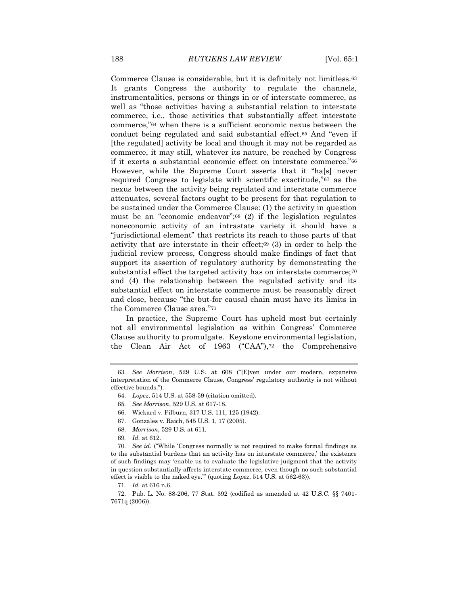Commerce Clause is considerable, but it is definitely not limitless.<sup>63</sup> It grants Congress the authority to regulate the channels, instrumentalities, persons or things in or of interstate commerce, as well as "those activities having a substantial relation to interstate commerce, i.e., those activities that substantially affect interstate commerce,"<sup>64</sup> when there is a sufficient economic nexus between the conduct being regulated and said substantial effect.<sup>65</sup> And "even if [the regulated] activity be local and though it may not be regarded as commerce, it may still, whatever its nature, be reached by Congress if it exerts a substantial economic effect on interstate commerce."<sup>66</sup> However, while the Supreme Court asserts that it "ha[s] never required Congress to legislate with scientific exactitude,"<sup>67</sup> as the nexus between the activity being regulated and interstate commerce attenuates, several factors ought to be present for that regulation to be sustained under the Commerce Clause: (1) the activity in question must be an "economic endeavor";<sup>68</sup> (2) if the legislation regulates noneconomic activity of an intrastate variety it should have a "jurisdictional element" that restricts its reach to those parts of that activity that are interstate in their effect;<sup>69</sup> (3) in order to help the judicial review process, Congress should make findings of fact that support its assertion of regulatory authority by demonstrating the substantial effect the targeted activity has on interstate commerce;<sup>70</sup> and (4) the relationship between the regulated activity and its substantial effect on interstate commerce must be reasonably direct and close, because "the but-for causal chain must have its limits in the Commerce Clause area."<sup>71</sup>

In practice, the Supreme Court has upheld most but certainly not all environmental legislation as within Congress' Commerce Clause authority to promulgate. Keystone environmental legislation, the Clean Air Act of 1963 ("CAA"),<sup>72</sup> the Comprehensive

- 67. Gonzales v. Raich, 545 U.S. 1, 17 (2005).
- 68. *Morrison*, 529 U.S. at 611.
- 69*. Id.* at 612.

70*. See id.* ("While 'Congress normally is not required to make formal findings as to the substantial burdens that an activity has on interstate commerce,' the existence of such findings may 'enable us to evaluate the legislative judgment that the activity in question substantially affects interstate commerce, even though no such substantial effect is visible to the naked eye.'" (quoting *Lopez*, 514 U.S. at 562-63)).

71*. Id.* at 616 n.6.

72. Pub. L. No. 88-206, 77 Stat. 392 (codified as amended at 42 U.S.C. §§ 7401- 7671q (2006)).

<sup>63</sup>*. See Morrison*, 529 U.S. at 608 ("[E]ven under our modern, expansive interpretation of the Commerce Clause, Congress' regulatory authority is not without effective bounds.").

<sup>64.</sup> *Lopez*, 514 U.S. at 558-59 (citation omitted).

<sup>65</sup>*. See Morrison*, 529 U.S. at 617-18.

<sup>66.</sup> Wickard v. Filburn, 317 U.S. 111, 125 (1942).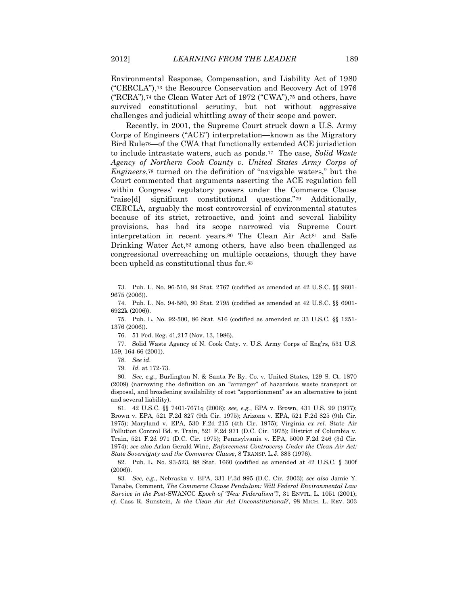Environmental Response, Compensation, and Liability Act of 1980 ("CERCLA"),<sup>73</sup> the Resource Conservation and Recovery Act of 1976 ("RCRA"),<sup>74</sup> the Clean Water Act of 1972 ("CWA"),<sup>75</sup> and others, have survived constitutional scrutiny, but not without aggressive challenges and judicial whittling away of their scope and power.

Recently, in 2001, the Supreme Court struck down a U.S. Army Corps of Engineers ("ACE") interpretation—known as the Migratory Bird Rule76—of the CWA that functionally extended ACE jurisdiction to include intrastate waters, such as ponds.77 The case, *Solid Waste Agency of Northern Cook County v. United States Army Corps of Engineers*,<sup>78</sup> turned on the definition of "navigable waters," but the Court commented that arguments asserting the ACE regulation fell within Congress' regulatory powers under the Commerce Clause "raise[d] significant constitutional questions."<sup>79</sup> Additionally, CERCLA, arguably the most controversial of environmental statutes because of its strict, retroactive, and joint and several liability provisions, has had its scope narrowed via Supreme Court interpretation in recent years.<sup>80</sup> The Clean Air Act<sup>81</sup> and Safe Drinking Water Act,<sup>82</sup> among others, have also been challenged as congressional overreaching on multiple occasions, though they have been upheld as constitutional thus far.<sup>83</sup>

76. 51 Fed. Reg. 41,217 (Nov. 13, 1986).

77. Solid Waste Agency of N. Cook Cnty. v. U.S. Army Corps of Eng'rs, 531 U.S. 159, 164-66 (2001).

79*. Id.* at 172-73.

80*. See, e.g.*, Burlington N. & Santa Fe Ry. Co. v. United States, 129 S. Ct. 1870 (2009) (narrowing the definition on an "arranger" of hazardous waste transport or disposal, and broadening availability of cost "apportionment" as an alternative to joint and several liability).

81*.* 42 U.S.C. §§ 7401-7671q (2006); *see, e.g.*, EPA v. Brown, 431 U.S. 99 (1977); Brown v. EPA, 521 F.2d 827 (9th Cir. 1975); Arizona v. EPA, 521 F.2d 825 (9th Cir. 1975); Maryland v. EPA, 530 F.2d 215 (4th Cir. 1975); Virginia *ex rel.* State Air Pollution Control Bd. v. Train, 521 F.2d 971 (D.C. Cir. 1975); District of Columbia v. Train, 521 F.2d 971 (D.C. Cir. 1975); Pennsylvania v. EPA, 5000 F.2d 246 (3d Cir. 1974); *see also* Arlan Gerald Wine, *Enforcement Controversy Under the Clean Air Act: State Sovereignty and the Commerce Clause*, 8 TRANSP. L.J. 383 (1976).

82. Pub. L. No. 93-523, 88 Stat. 1660 (codified as amended at 42 U.S.C. § 300f (2006)).

83*. See, e.g.*, Nebraska v. EPA, 331 F.3d 995 (D.C. Cir. 2003); *see also* Jamie Y. Tanabe, Comment, *The Commerce Clause Pendulum: Will Federal Environmental Law Survive in the Post-*SWANCC *Epoch of "New Federalism"?*, 31 ENVTL. L. 1051 (2001); *cf.* Cass R. Sunstein, *Is the Clean Air Act Unconstitutional?*, 98 MICH. L. REV. 303

<sup>73.</sup> Pub. L. No. 96-510, 94 Stat. 2767 (codified as amended at 42 U.S.C. §§ 9601- 9675 (2006)).

<sup>74.</sup> Pub. L. No. 94-580, 90 Stat. 2795 (codified as amended at 42 U.S.C. §§ 6901- 6922k (2006)).

<sup>75.</sup> Pub. L. No. 92-500, 86 Stat. 816 (codified as amended at 33 U.S.C. §§ 1251- 1376 (2006)).

<sup>78</sup>*. See id.*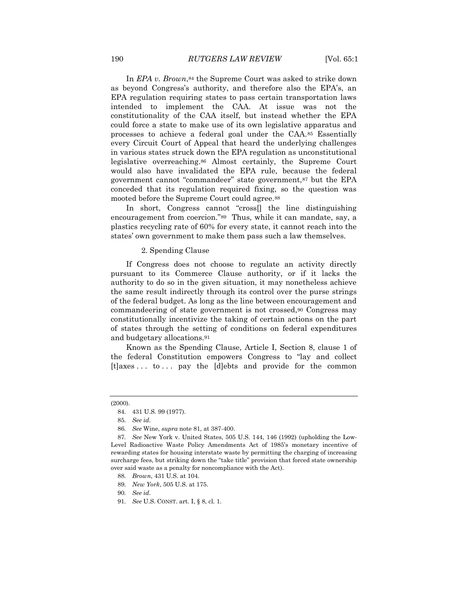In *EPA v. Brown*,<sup>84</sup> the Supreme Court was asked to strike down as beyond Congress's authority, and therefore also the EPA's, an EPA regulation requiring states to pass certain transportation laws intended to implement the CAA. At issue was not the constitutionality of the CAA itself, but instead whether the EPA could force a state to make use of its own legislative apparatus and processes to achieve a federal goal under the CAA.<sup>85</sup> Essentially every Circuit Court of Appeal that heard the underlying challenges in various states struck down the EPA regulation as unconstitutional legislative overreaching.<sup>86</sup> Almost certainly, the Supreme Court would also have invalidated the EPA rule, because the federal government cannot "commandeer" state government,<sup>87</sup> but the EPA conceded that its regulation required fixing, so the question was mooted before the Supreme Court could agree.<sup>88</sup>

In short, Congress cannot "cross[] the line distinguishing encouragement from coercion."89 Thus, while it can mandate, say, a plastics recycling rate of 60% for every state, it cannot reach into the states' own government to make them pass such a law themselves.

#### 2. Spending Clause

If Congress does not choose to regulate an activity directly pursuant to its Commerce Clause authority, or if it lacks the authority to do so in the given situation, it may nonetheless achieve the same result indirectly through its control over the purse strings of the federal budget. As long as the line between encouragement and commandeering of state government is not crossed,<sup>90</sup> Congress may constitutionally incentivize the taking of certain actions on the part of states through the setting of conditions on federal expenditures and budgetary allocations.<sup>91</sup>

Known as the Spending Clause, Article I, Section 8, clause 1 of the federal Constitution empowers Congress to "lay and collect [t]axes . . . to . . . pay the [d]ebts and provide for the common

<sup>(2000).</sup>

<sup>84.</sup> 431 U.S. 99 (1977).

<sup>85</sup>*. See id.*

<sup>86</sup>*. See* Wine, *supra* note 81, at 387-400.

<sup>87</sup>*. See* New York v. United States, 505 U.S. 144, 146 (1992) (upholding the Low-Level Radioactive Waste Policy Amendments Act of 1985's monetary incentive of rewarding states for housing interstate waste by permitting the charging of increasing surcharge fees, but striking down the "take title" provision that forced state ownership over said waste as a penalty for noncompliance with the Act).

<sup>88.</sup> *Brown*, 431 U.S. at 104.

<sup>89.</sup> *New York*, 505 U.S. at 175.

<sup>90</sup>*. See id.* 

<sup>91</sup>*. See* U.S. CONST. art. I, § 8, cl. 1.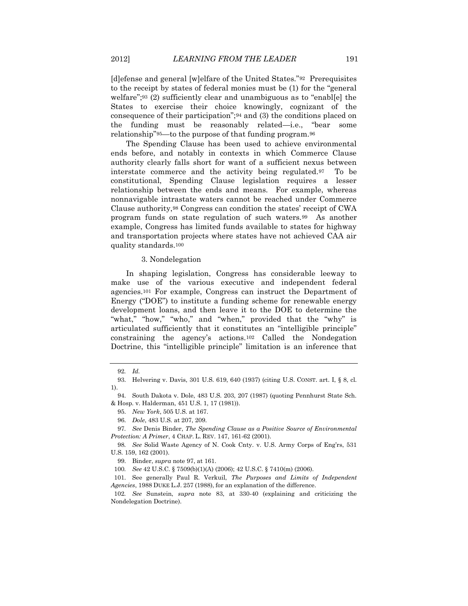[d]efense and general [w]elfare of the United States."92 Prerequisites to the receipt by states of federal monies must be (1) for the "general welfare";<sup>93</sup> (2) sufficiently clear and unambiguous as to "enabl[e] the States to exercise their choice knowingly, cognizant of the consequence of their participation";<sup>94</sup> and (3) the conditions placed on the funding must be reasonably related—i.e., "bear some relationship"95—to the purpose of that funding program.<sup>96</sup>

The Spending Clause has been used to achieve environmental ends before, and notably in contexts in which Commerce Clause authority clearly falls short for want of a sufficient nexus between interstate commerce and the activity being regulated.97 To be constitutional, Spending Clause legislation requires a lesser relationship between the ends and means. For example, whereas nonnavigable intrastate waters cannot be reached under Commerce Clause authority,<sup>98</sup> Congress can condition the states' receipt of CWA program funds on state regulation of such waters.99 As another example, Congress has limited funds available to states for highway and transportation projects where states have not achieved CAA air quality standards.<sup>100</sup>

#### 3. Nondelegation

In shaping legislation, Congress has considerable leeway to make use of the various executive and independent federal agencies.<sup>101</sup> For example, Congress can instruct the Department of Energy ("DOE") to institute a funding scheme for renewable energy development loans, and then leave it to the DOE to determine the "what," "how," "who," and "when," provided that the "why" is articulated sufficiently that it constitutes an "intelligible principle" constraining the agency's actions.<sup>102</sup> Called the Nondegation Doctrine, this "intelligible principle" limitation is an inference that

<sup>92</sup>*. Id.*

<sup>93.</sup> Helvering v. Davis, 301 U.S. 619, 640 (1937) (citing U.S. CONST. art. I, § 8, cl. 1).

<sup>94.</sup> South Dakota v. Dole, 483 U.S. 203, 207 (1987) (quoting Pennhurst State Sch. & Hosp. v. Halderman, 451 U.S. 1, 17 (1981)).

<sup>95.</sup> *New York*, 505 U.S. at 167.

<sup>96.</sup> *Dole*, 483 U.S. at 207, 209.

<sup>97</sup>*. See* Denis Binder, *The Spending Clause as a Positive Source of Environmental Protection: A Primer*, 4 CHAP. L. REV. 147, 161-62 (2001).

<sup>98</sup>*. See* Solid Waste Agency of N. Cook Cnty. v. U.S. Army Corps of Eng'rs, 531 U.S. 159, 162 (2001).

<sup>99.</sup> Binder, *supra* note 97, at 161.

<sup>100</sup>*. See* 42 U.S.C. § 7509(b)(1)(A) (2006); 42 U.S.C. § 7410(m) (2006).

<sup>101.</sup> See generally Paul R. Verkuil, *The Purposes and Limits of Independent Agencies*, 1988 DUKE L.J. 257 (1988), for an explanation of the difference.

<sup>102</sup>*. See* Sunstein, *supra* note 83, at 330-40 (explaining and criticizing the Nondelegation Doctrine).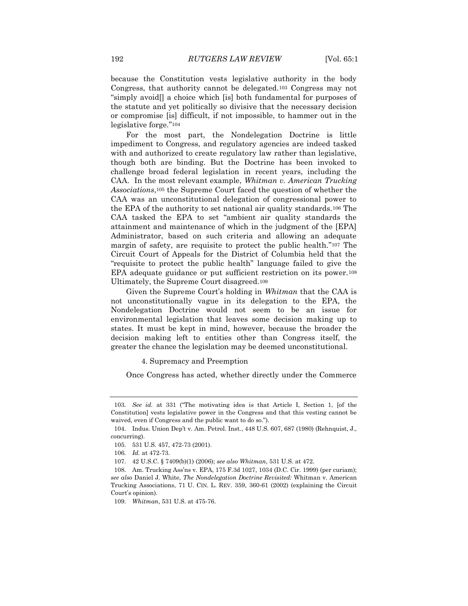because the Constitution vests legislative authority in the body Congress, that authority cannot be delegated.<sup>103</sup> Congress may not "simply avoid[] a choice which [is] both fundamental for purposes of the statute and yet politically so divisive that the necessary decision or compromise [is] difficult, if not impossible, to hammer out in the legislative forge*.*"<sup>104</sup>

For the most part, the Nondelegation Doctrine is little impediment to Congress, and regulatory agencies are indeed tasked with and authorized to create regulatory law rather than legislative, though both are binding. But the Doctrine has been invoked to challenge broad federal legislation in recent years, including the CAA. In the most relevant example, *Whitman v. American Trucking Associations*,<sup>105</sup> the Supreme Court faced the question of whether the CAA was an unconstitutional delegation of congressional power to the EPA of the authority to set national air quality standards.<sup>106</sup> The CAA tasked the EPA to set "ambient air quality standards the attainment and maintenance of which in the judgment of the [EPA] Administrator, based on such criteria and allowing an adequate margin of safety, are requisite to protect the public health*.*"<sup>107</sup> The Circuit Court of Appeals for the District of Columbia held that the "requisite to protect the public health" language failed to give the EPA adequate guidance or put sufficient restriction on its power.<sup>108</sup> Ultimately, the Supreme Court disagreed.<sup>109</sup>

Given the Supreme Court's holding in *Whitman* that the CAA is not unconstitutionally vague in its delegation to the EPA, the Nondelegation Doctrine would not seem to be an issue for environmental legislation that leaves some decision making up to states. It must be kept in mind, however, because the broader the decision making left to entities other than Congress itself, the greater the chance the legislation may be deemed unconstitutional.

4. Supremacy and Preemption

Once Congress has acted, whether directly under the Commerce

<sup>103</sup>*. See id.* at 331 ("The motivating idea is that Article I, Section 1, [of the Constitution] vests legislative power in the Congress and that this vesting cannot be waived, even if Congress and the public want to do so.").

<sup>104.</sup> Indus. Union Dep't v. Am. Petrol. Inst*.*, 448 U.S. 607, 687 (1980) (Rehnquist, J., concurring).

<sup>105.</sup> 531 U.S. 457, 472-73 (2001).

<sup>106</sup>*. Id.* at 472-73.

<sup>107.</sup> 42 U.S.C. § 7409(b)(1) (2006); *see also Whitman*, 531 U.S. at 472.

<sup>108.</sup> Am. Trucking Ass'ns v. EPA, 175 F.3d 1027, 1034 (D.C. Cir. 1999) (per curiam); *see also* Daniel J. White, *The Nondelegation Doctrine Revisited:* Whitman v. American Trucking Associations, 71 U. CIN. L. REV. 359, 360-61 (2002) (explaining the Circuit Court's opinion).

<sup>109.</sup> *Whitman*, 531 U.S. at 475-76.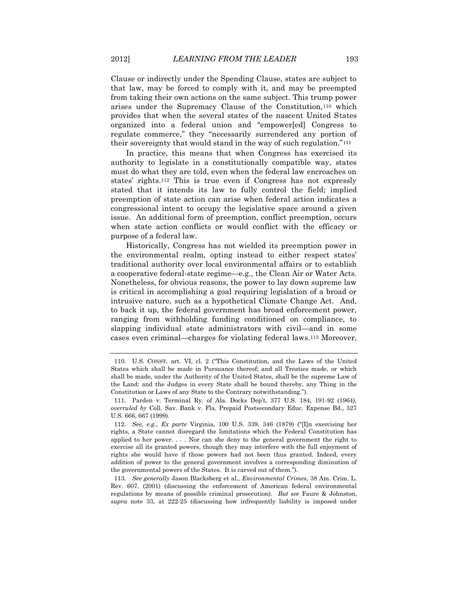Clause or indirectly under the Spending Clause, states are subject to that law, may be forced to comply with it, and may be preempted from taking their own actions on the same subject. This trump power arises under the Supremacy Clause of the Constitution,<sup>110</sup> which provides that when the several states of the nascent United States organized into a federal union and "empower[ed] Congress to regulate commerce," they "necessarily surrendered any portion of their sovereignty that would stand in the way of such regulation."<sup>111</sup>

In practice, this means that when Congress has exercised its authority to legislate in a constitutionally compatible way, states must do what they are told, even when the federal law encroaches on states' rights.<sup>112</sup> This is true even if Congress has not expressly stated that it intends its law to fully control the field; implied preemption of state action can arise when federal action indicates a congressional intent to occupy the legislative space around a given issue. An additional form of preemption, conflict preemption, occurs when state action conflicts or would conflict with the efficacy or purpose of a federal law.

Historically, Congress has not wielded its preemption power in the environmental realm, opting instead to either respect states' traditional authority over local environmental affairs or to establish a cooperative federal-state regime—e.g*.*, the Clean Air or Water Acts. Nonetheless, for obvious reasons, the power to lay down supreme law is critical in accomplishing a goal requiring legislation of a broad or intrusive nature, such as a hypothetical Climate Change Act. And, to back it up, the federal government has broad enforcement power, ranging from withholding funding conditioned on compliance, to slapping individual state administrators with civil—and in some cases even criminal—charges for violating federal laws.<sup>113</sup> Moreover,

113*. See generally* Jason Blacksberg et al., *Environmental Crimes*, 38 Am. Crim. L. Rev. 607. (2001) (discussing the enforcement of American federal environmental regulations by means of possible criminal prosecution). *But see* Faure & Johnston, *supra* note 33, at 222-25 (discussing how infrequently liability is imposed under

<sup>110.</sup> U.S. CONST. art. VI, cl. 2 ("This Constitution, and the Laws of the United States which shall be made in Pursuance thereof; and all Treaties made, or which shall be made, under the Authority of the United States, shall be the supreme Law of the Land; and the Judges in every State shall be bound thereby, any Thing in the Constitution or Laws of any State to the Contrary notwithstanding.").

<sup>111.</sup> Parden v. Terminal Ry. of Ala. Docks Dep't, 377 U.S. 184, 191-92 (1964), *overruled by* Coll. Sav. Bank v. Fla. Prepaid Postsecondary Educ. Expense Bd., 527 U.S. 666, 667 (1999).

<sup>112</sup>*. See, e.g.*, *Ex parte* Virginia, 100 U.S. 339, 346 (1879) ("[I]n exercising her rights, a State cannot disregard the limitations which the Federal Constitution has applied to her power. . . . Nor can she deny to the general government the right to exercise all its granted powers, though they may interfere with the full enjoyment of rights she would have if those powers had not been thus granted. Indeed, every addition of power to the general government involves a corresponding diminution of the governmental powers of the States. It is carved out of them.").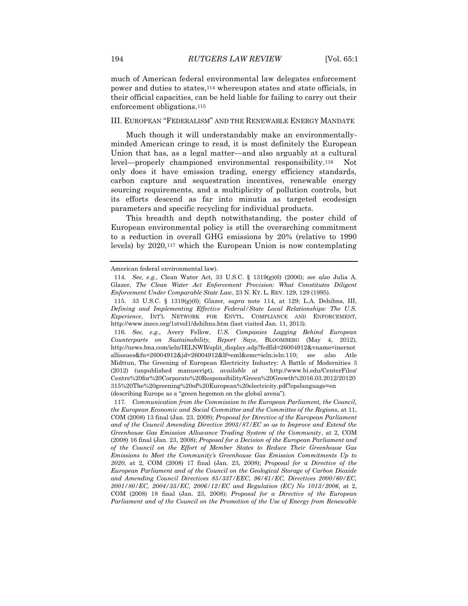much of American federal environmental law delegates enforcement power and duties to states,<sup>114</sup> whereupon states and state officials, in their official capacities, can be held liable for failing to carry out their enforcement obligations.<sup>115</sup>

### III. EUROPEAN "FEDERALISM" AND THE RENEWABLE ENERGY MANDATE

Much though it will understandably make an environmentallyminded American cringe to read, it is most definitely the European Union that has, as a legal matter—and also arguably at a cultural level—properly championed environmental responsibility.116 Not only does it have emission trading, energy efficiency standards, carbon capture and sequestration incentives, renewable energy sourcing requirements, and a multiplicity of pollution controls, but its efforts descend as far into minutia as targeted ecodesign parameters and specific recycling for individual products.

This breadth and depth notwithstanding, the poster child of European environmental policy is still the overarching commitment to a reduction in overall GHG emissions by 20% (relative to 1990 levels) by 2020,<sup>117</sup> which the European Union is now contemplating

American federal environmental law).

<sup>114</sup>*. See, e.g.*, Clean Water Act, 33 U.S.C. § 1319(g)(6) (2006); *see also* Julia A. Glazer, *The Clean Water Act Enforcement Provision: What Constitutes Diligent Enforcement Under Comparable State Law*, 23 N. KY. L. REV. 129, 129 (1995).

<sup>115</sup>*.* 33 U.S.C. § 1319(g)(6); Glazer, *supra* note 114, at 129; L.A. Dehihns, III, *Defining and Implementing Effective Federal/State Local Relationships: The U.S. Experience*, INT'L NETWORK FOR ENVTL. COMPLIANCE AND ENFORCEMENT, http://www.inece.org/1stvol1/dehihns.htm (last visited Jan. 11, 2013).

<sup>116</sup>*. See, e.g.*, Avery Fellow, *U.S. Companies Lagging Behind European Counterparts on Sustainability, Report Says*, BLOOMBERG (May 4, 2012), http://news.bna.com/ieln/IELNWB/split\_display.adp?fedfid=26004912&vname=inernot allissues&fn=26004912&jd=26004912&lf=eml&emc=ieln:ieln:110; *see also* Atle Midttun, The Greening of European Electricity Industry: A Battle of Modernities 3 (2012) (unpublished manuscript), *available at* http://www.bi.edu/CenterFiles/ Centre%20for%20Corporate%20Responsibility/Green%20Growth%2016.03.2012/20120 315%20The%20greening%20of%20European%20electricity.pdf?epslanguage=en (describing Europe as a "green hegemon on the global arena").

<sup>117</sup>*. Communication from the Commission to the European Parliament, the Council, the European Economic and Social Committee and the Committee of the Regions*, at 11, COM (2008) 13 final (Jan. 23, 2008); *Proposal for Directive of the European Parliament and of the Council Amending Directive 2003/87/EC so as to Improve and Extend the Greenhouse Gas Emission Allowance Trading System of the Community*, at 2, COM (2008) 16 final (Jan. 23, 2008); *Proposal for a Decision of the European Parliament and of the Council on the Effort of Member States to Reduce Their Greenhouse Gas Emissions to Meet the Community's Greenhouse Gas Emission Commitments Up to 2020*, at 2, COM (2008) 17 final (Jan. 23, 2008); *Proposal for a Directive of the European Parliament and of the Council on the Geological Storage of Carbon Dioxide and Amending Council Directives 85/337/EEC, 96/61/EC, Directives 2000/60/EC, 2001/80/EC, 2004/35/EC, 2006/12/EC and Regulation (EC) No 1013/2006*, at 2, COM (2008) 18 final (Jan. 23, 2008); *Proposal for a Directive of the European*  Parliament and of the Council on the Promotion of the Use of Energy from Renewable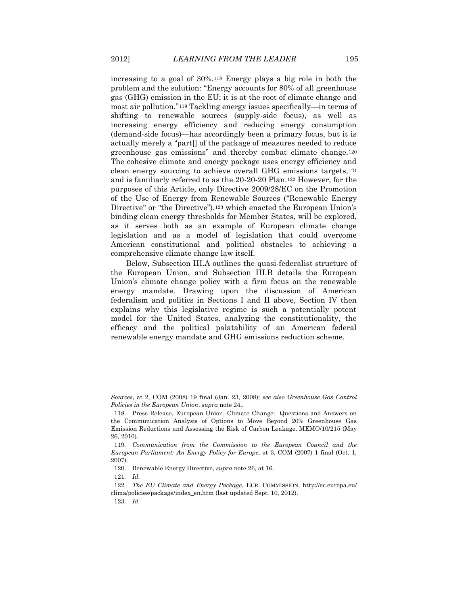increasing to a goal of 30%.<sup>118</sup> Energy plays a big role in both the problem and the solution: "Energy accounts for 80% of all greenhouse gas (GHG) emission in the EU; it is at the root of climate change and most air pollution."<sup>119</sup> Tackling energy issues specifically—in terms of shifting to renewable sources (supply-side focus), as well as increasing energy efficiency and reducing energy consumption (demand-side focus)—has accordingly been a primary focus, but it is actually merely a "part[] of the package of measures needed to reduce greenhouse gas emissions" and thereby combat climate change.<sup>120</sup> The cohesive climate and energy package uses energy efficiency and clean energy sourcing to achieve overall GHG emissions targets,<sup>121</sup> and is familiarly referred to as the 20-20-20 Plan.<sup>122</sup> However, for the purposes of this Article, only Directive 2009/28/EC on the Promotion of the Use of Energy from Renewable Sources ("Renewable Energy Directive" or "the Directive"),<sup>123</sup> which enacted the European Union's binding clean energy thresholds for Member States, will be explored, as it serves both as an example of European climate change legislation and as a model of legislation that could overcome American constitutional and political obstacles to achieving a comprehensive climate change law itself.

Below, Subsection III.A outlines the quasi-federalist structure of the European Union, and Subsection III.B details the European Union's climate change policy with a firm focus on the renewable energy mandate. Drawing upon the discussion of American federalism and politics in Sections I and II above, Section IV then explains why this legislative regime is such a potentially potent model for the United States, analyzing the constitutionality, the efficacy and the political palatability of an American federal renewable energy mandate and GHG emissions reduction scheme.

*Sources*, at 2, COM (2008) 19 final (Jan. 23, 2008); *see also Greenhouse Gas Control Policies in the European Union*, *supra* note 24,.

<sup>118.</sup> Press Release, European Union, Climate Change: Questions and Answers on the Communication Analysis of Options to Move Beyond 20% Greenhouse Gas Emission Reductions and Assessing the Risk of Carbon Leakage, MEMO/10/215 (May 26, 2010).

<sup>119</sup>*. Communication from the Commission to the European Council and the European Parliament: An Energy Policy for Europe*, at 3, COM (2007) 1 final (Oct. 1, 2007).

<sup>120.</sup> Renewable Energy Directive, *supra* note 26, at 16.

<sup>121</sup>*. Id.*

<sup>122</sup>*. The EU Climate and Energy Package*, EUR. COMMISSION, http://ec.europa.eu/ clima/policies/package/index\_en.htm (last updated Sept. 10, 2012).

<sup>123</sup>*. Id.*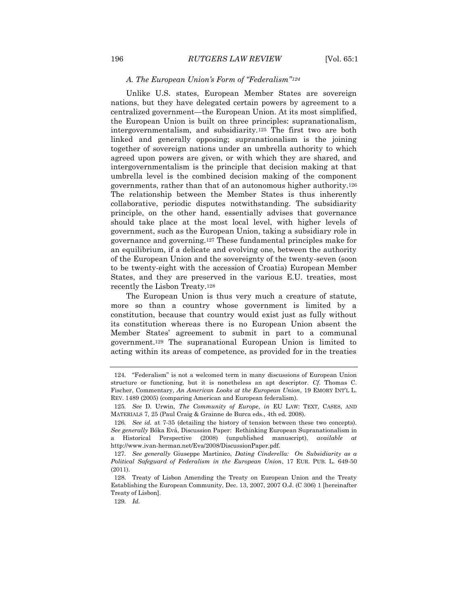# *A. The European Union's Form of "Federalism"<sup>124</sup>*

Unlike U.S. states, European Member States are sovereign nations, but they have delegated certain powers by agreement to a centralized government—the European Union. At its most simplified, the European Union is built on three principles: supranationalism, intergovernmentalism, and subsidiarity.<sup>125</sup> The first two are both linked and generally opposing; supranationalism is the joining together of sovereign nations under an umbrella authority to which agreed upon powers are given, or with which they are shared, and intergovernmentalism is the principle that decision making at that umbrella level is the combined decision making of the component governments, rather than that of an autonomous higher authority.<sup>126</sup> The relationship between the Member States is thus inherently collaborative, periodic disputes notwithstanding. The subsidiarity principle, on the other hand, essentially advises that governance should take place at the most local level, with higher levels of government, such as the European Union, taking a subsidiary role in governance and governing.<sup>127</sup> These fundamental principles make for an equilibrium, if a delicate and evolving one, between the authority of the European Union and the sovereignty of the twenty-seven (soon to be twenty-eight with the accession of Croatia) European Member States, and they are preserved in the various E.U. treaties, most recently the Lisbon Treaty.<sup>128</sup>

The European Union is thus very much a creature of statute, more so than a country whose government is limited by a constitution, because that country would exist just as fully without its constitution whereas there is no European Union absent the Member States' agreement to submit in part to a communal government.<sup>129</sup> The supranational European Union is limited to acting within its areas of competence, as provided for in the treaties

<sup>124.</sup> "Federalism" is not a welcomed term in many discussions of European Union structure or functioning, but it is nonetheless an apt descriptor. *Cf.* Thomas C. Fischer, Commentary, *An American Looks at the European Union*, 19 EMORY INT'L L. REV. 1489 (2005) (comparing American and European federalism).

<sup>125</sup>*. See* D. Urwin, *The Community of Europe*, *in* EU LAW: TEXT, CASES, AND MATERIALS 7, 25 (Paul Craig & Grainne de Burca eds., 4th ed. 2008).

<sup>126</sup>*. See id.* at 7-35 (detailing the history of tension between these two concepts). *See generally* Bóka Evá, Discussion Paper: Rethinking European Supranationalism in a Historical Perspective (2008) (unpublished manuscript), *available at* http://www.ivan-herman.net/Eva/2008/DiscussionPaper.pdf.

<sup>127</sup>*. See generally* Giuseppe Martinico, *Dating Cinderella: On Subsidiarity as a Political Safeguard of Federalism in the European Union*, 17 EUR. PUB. L. 649-50 (2011).

<sup>128.</sup> Treaty of Lisbon Amending the Treaty on European Union and the Treaty Establishing the European Community, Dec. 13, 2007, 2007 O.J. (C 306) 1 [hereinafter Treaty of Lisbon].

<sup>129</sup>*. Id.*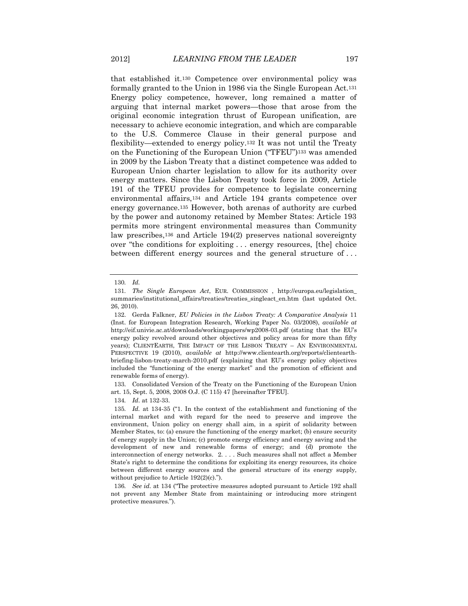that established it.<sup>130</sup> Competence over environmental policy was formally granted to the Union in 1986 via the Single European Act.<sup>131</sup> Energy policy competence, however, long remained a matter of arguing that internal market powers—those that arose from the original economic integration thrust of European unification, are necessary to achieve economic integration, and which are comparable to the U.S. Commerce Clause in their general purpose and flexibility—extended to energy policy.<sup>132</sup> It was not until the Treaty on the Functioning of the European Union ("TFEU")<sup>133</sup> was amended in 2009 by the Lisbon Treaty that a distinct competence was added to European Union charter legislation to allow for its authority over energy matters. Since the Lisbon Treaty took force in 2009, Article 191 of the TFEU provides for competence to legislate concerning environmental affairs,<sup>134</sup> and Article 194 grants competence over energy governance.<sup>135</sup> However, both arenas of authority are curbed by the power and autonomy retained by Member States: Article 193 permits more stringent environmental measures than Community law prescribes,<sup>136</sup> and Article 194(2) preserves national sovereignty over "the conditions for exploiting . . . energy resources, [the] choice between different energy sources and the general structure of . . .

133. Consolidated Version of the Treaty on the Functioning of the European Union art. 15, Sept. 5, 2008, 2008 O.J. (C 115) 47 [hereinafter TFEU].

134*. Id*. at 132-33.

<sup>130</sup>*. Id.*

<sup>131</sup>*. The Single European Act*, EUR. COMMISSION , http://europa.eu/legislation\_ summaries/institutional\_affairs/treaties/treaties\_singleact\_en.htm (last updated Oct. 26, 2010).

<sup>132.</sup> Gerda Falkner, *EU Policies in the Lisbon Treaty: A Comparative Analysis* 11 (Inst. for European Integration Research, Working Paper No. 03/2008), *available at*  http://eif.univie.ac.at/downloads/workingpapers/wp2008-03.pdf (stating that the EU's energy policy revolved around other objectives and policy areas for more than fifty years); CLIENTEARTH, THE IMPACT OF THE LISBON TREATY – AN ENVIRONMENTAL PERSPECTIVE 19 (2010), *available at* http://www.clientearth.org/reports/clientearthbriefing-lisbon-treaty-march-2010.pdf (explaining that EU's energy policy objectives included the "functioning of the energy market" and the promotion of efficient and renewable forms of energy).

<sup>135</sup>*. Id.* at 134-35 ("1. In the context of the establishment and functioning of the internal market and with regard for the need to preserve and improve the environment, Union policy on energy shall aim, in a spirit of solidarity between Member States, to: (a) ensure the functioning of the energy market; (b) ensure security of energy supply in the Union; (c) promote energy efficiency and energy saving and the development of new and renewable forms of energy; and (d) promote the interconnection of energy networks. 2. . . . Such measures shall not affect a Member State's right to determine the conditions for exploiting its energy resources, its choice between different energy sources and the general structure of its energy supply, without prejudice to Article 192(2)(c).").

<sup>136</sup>*. See id*. at 134 ("The protective measures adopted pursuant to Article 192 shall not prevent any Member State from maintaining or introducing more stringent protective measures.").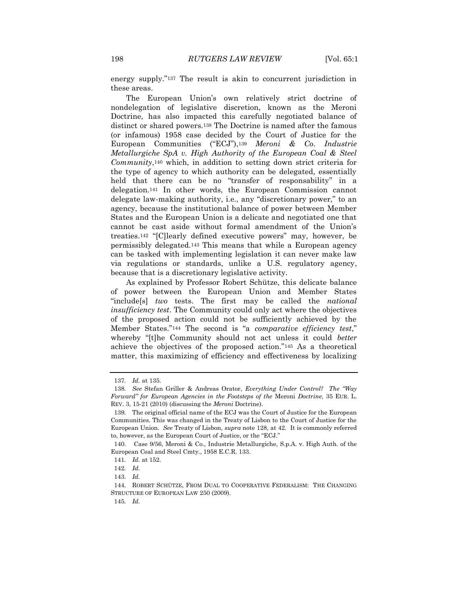energy supply."<sup>137</sup> The result is akin to concurrent jurisdiction in these areas.

The European Union's own relatively strict doctrine of nondelegation of legislative discretion, known as the Meroni Doctrine, has also impacted this carefully negotiated balance of distinct or shared powers.<sup>138</sup> The Doctrine is named after the famous (or infamous) 1958 case decided by the Court of Justice for the European Communities ("ECJ"),<sup>139</sup> *Meroni & Co. Industrie Metallurgiche SpA v. High Authority of the European Coal & Steel Community*,<sup>140</sup> which, in addition to setting down strict criteria for the type of agency to which authority can be delegated, essentially held that there can be no "transfer of responsability" in a delegation.<sup>141</sup> In other words, the European Commission cannot delegate law-making authority, i.e., any "discretionary power," to an agency, because the institutional balance of power between Member States and the European Union is a delicate and negotiated one that cannot be cast aside without formal amendment of the Union's treaties.<sup>142</sup> "[C]learly defined executive powers" may, however, be permissibly delegated.<sup>143</sup> This means that while a European agency can be tasked with implementing legislation it can never make law via regulations or standards, unlike a U.S. regulatory agency, because that is a discretionary legislative activity.

As explained by Professor Robert Schütze, this delicate balance of power between the European Union and Member States "include[s] *two* tests. The first may be called the *national insufficiency test*. The Community could only act where the objectives of the proposed action could not be sufficiently achieved by the Member States."<sup>144</sup> The second is "a *comparative efficiency test*," whereby "[t]he Community should not act unless it could *better* achieve the objectives of the proposed action."<sup>145</sup> As a theoretical matter, this maximizing of efficiency and effectiveness by localizing

<sup>137</sup>*. Id.* at 135.

<sup>138</sup>*. See* Stefan Griller & Andreas Orator, *Everything Under Control? The "Way Forward" for European Agencies in the Footsteps of the* Meroni *Doctrine*, 35 EUR. L. REV. 3, 15-21 (2010) (discussing the *Meroni* Doctrine).

<sup>139.</sup> The original official name of the ECJ was the Court of Justice for the European Communities. This was changed in the Treaty of Lisbon to the Court of Justice for the European Union. *See* Treaty of Lisbon, *supra* note 128, at 42. It is commonly referred to, however, as the European Court of Justice, or the "ECJ."

<sup>140.</sup> Case 9/56, Meroni & Co., Industrie Metallurgiche, S.p.A. v. High Auth. of the European Coal and Steel Cmty., 1958 E.C.R. 133.

<sup>141</sup>*. Id.* at 152.

<sup>142</sup>*. Id.*

<sup>143</sup>*. Id.*

<sup>144.</sup> ROBERT SCHÜTZE, FROM DUAL TO COOPERATIVE FEDERALISM: THE CHANGING STRUCTURE OF EUROPEAN LAW 250 (2009).

<sup>145</sup>*. Id.*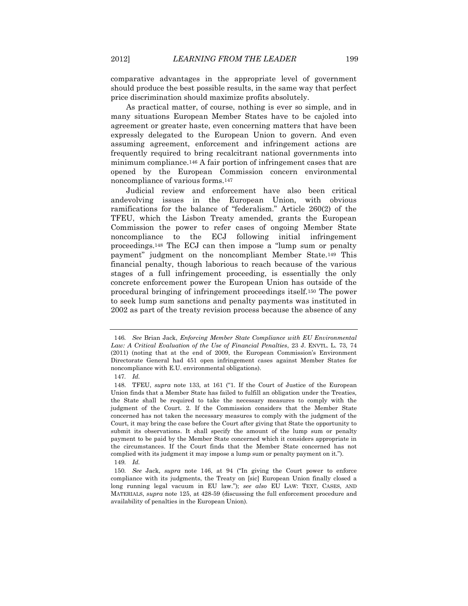comparative advantages in the appropriate level of government should produce the best possible results, in the same way that perfect price discrimination should maximize profits absolutely.

As practical matter, of course, nothing is ever so simple, and in many situations European Member States have to be cajoled into agreement or greater haste, even concerning matters that have been expressly delegated to the European Union to govern. And even assuming agreement, enforcement and infringement actions are frequently required to bring recalcitrant national governments into minimum compliance.<sup>146</sup> A fair portion of infringement cases that are opened by the European Commission concern environmental noncompliance of various forms.<sup>147</sup>

Judicial review and enforcement have also been critical andevolving issues in the European Union, with obvious ramifications for the balance of "federalism." Article 260(2) of the TFEU, which the Lisbon Treaty amended, grants the European Commission the power to refer cases of ongoing Member State noncompliance to the ECJ following initial infringement proceedings.<sup>148</sup> The ECJ can then impose a "lump sum or penalty payment" judgment on the noncompliant Member State.<sup>149</sup> This financial penalty, though laborious to reach because of the various stages of a full infringement proceeding, is essentially the only concrete enforcement power the European Union has outside of the procedural bringing of infringement proceedings itself.<sup>150</sup> The power to seek lump sum sanctions and penalty payments was instituted in 2002 as part of the treaty revision process because the absence of any

<sup>146</sup>*. See* Brian Jack, *Enforcing Member State Compliance with EU Environmental Law: A Critical Evaluation of the Use of Financial Penalties*, 23 J. ENVTL. L. 73, 74 (2011) (noting that at the end of 2009, the European Commission's Environment Directorate General had 451 open infringement cases against Member States for noncompliance with E.U. environmental obligations).

<sup>147</sup>*. Id.*

<sup>148.</sup> TFEU, *supra* note 133, at 161 ("1. If the Court of Justice of the European Union finds that a Member State has failed to fulfill an obligation under the Treaties, the State shall be required to take the necessary measures to comply with the judgment of the Court. 2. If the Commission considers that the Member State concerned has not taken the necessary measures to comply with the judgment of the Court, it may bring the case before the Court after giving that State the opportunity to submit its observations. It shall specify the amount of the lump sum or penalty payment to be paid by the Member State concerned which it considers appropriate in the circumstances. If the Court finds that the Member State concerned has not complied with its judgment it may impose a lump sum or penalty payment on it."). 149*. Id.*

<sup>150</sup>*. See* Jack, *supra* note 146, at 94 ("In giving the Court power to enforce compliance with its judgments, the Treaty on [sic] European Union finally closed a long running legal vacuum in EU law."); *see also* EU LAW: TEXT, CASES, AND MATERIALS, *supra* note 125, at 428-59 (discussing the full enforcement procedure and availability of penalties in the European Union).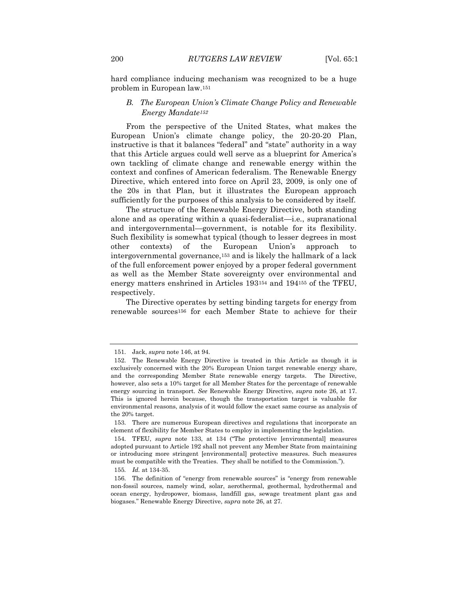hard compliance inducing mechanism was recognized to be a huge problem in European law.<sup>151</sup>

# *B. The European Union's Climate Change Policy and Renewable Energy Mandate<sup>152</sup>*

From the perspective of the United States, what makes the European Union's climate change policy, the 20-20-20 Plan, instructive is that it balances "federal" and "state" authority in a way that this Article argues could well serve as a blueprint for America's own tackling of climate change and renewable energy within the context and confines of American federalism. The Renewable Energy Directive, which entered into force on April 23, 2009, is only one of the 20s in that Plan, but it illustrates the European approach sufficiently for the purposes of this analysis to be considered by itself.

The structure of the Renewable Energy Directive, both standing alone and as operating within a quasi-federalist—i.e*.*, supranational and intergovernmental—government, is notable for its flexibility. Such flexibility is somewhat typical (though to lesser degrees in most other contexts) of the European Union's approach to intergovernmental governance,<sup>153</sup> and is likely the hallmark of a lack of the full enforcement power enjoyed by a proper federal government as well as the Member State sovereignty over environmental and energy matters enshrined in Articles 193<sup>154</sup> and 194<sup>155</sup> of the TFEU, respectively.

The Directive operates by setting binding targets for energy from renewable sources<sup>156</sup> for each Member State to achieve for their

155*. Id.* at 134-35.

<sup>151.</sup> Jack, *supra* note 146, at 94.

<sup>152.</sup> The Renewable Energy Directive is treated in this Article as though it is exclusively concerned with the 20% European Union target renewable energy share, and the corresponding Member State renewable energy targets. The Directive, however, also sets a 10% target for all Member States for the percentage of renewable energy sourcing in transport. *See* Renewable Energy Directive, *supra* note 26, at 17. This is ignored herein because, though the transportation target is valuable for environmental reasons, analysis of it would follow the exact same course as analysis of the 20% target.

<sup>153.</sup> There are numerous European directives and regulations that incorporate an element of flexibility for Member States to employ in implementing the legislation.

<sup>154.</sup> TFEU, *supra* note 133, at 134 ("The protective [environmental] measures adopted pursuant to Article 192 shall not prevent any Member State from maintaining or introducing more stringent [environmental] protective measures. Such measures must be compatible with the Treaties. They shall be notified to the Commission.").

<sup>156.</sup> The definition of "energy from renewable sources" is "energy from renewable non-fossil sources, namely wind, solar, aerothermal, geothermal, hydrothermal and ocean energy, hydropower, biomass, landfill gas, sewage treatment plant gas and biogases." Renewable Energy Directive, *supra* note 26, at 27.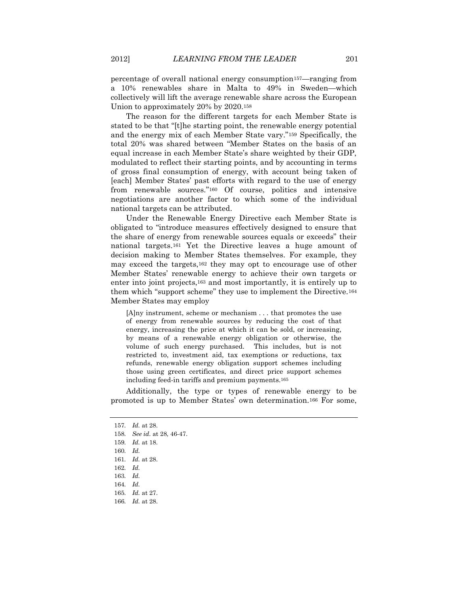percentage of overall national energy consumption157—ranging from a 10% renewables share in Malta to 49% in Sweden—which collectively will lift the average renewable share across the European Union to approximately 20% by 2020.<sup>158</sup>

The reason for the different targets for each Member State is stated to be that "[t]he starting point, the renewable energy potential and the energy mix of each Member State vary."<sup>159</sup> Specifically, the total 20% was shared between "Member States on the basis of an equal increase in each Member State's share weighted by their GDP, modulated to reflect their starting points, and by accounting in terms of gross final consumption of energy, with account being taken of [each] Member States' past efforts with regard to the use of energy from renewable sources*.*"<sup>160</sup> Of course, politics and intensive negotiations are another factor to which some of the individual national targets can be attributed.

Under the Renewable Energy Directive each Member State is obligated to "introduce measures effectively designed to ensure that the share of energy from renewable sources equals or exceeds" their national targets.<sup>161</sup> Yet the Directive leaves a huge amount of decision making to Member States themselves. For example, they may exceed the targets,<sup>162</sup> they may opt to encourage use of other Member States' renewable energy to achieve their own targets or enter into joint projects,<sup>163</sup> and most importantly, it is entirely up to them which "support scheme" they use to implement the Directive.<sup>164</sup> Member States may employ

[A]ny instrument, scheme or mechanism . . . that promotes the use of energy from renewable sources by reducing the cost of that energy, increasing the price at which it can be sold, or increasing, by means of a renewable energy obligation or otherwise, the volume of such energy purchased. This includes, but is not restricted to, investment aid, tax exemptions or reductions, tax refunds, renewable energy obligation support schemes including those using green certificates, and direct price support schemes including feed-in tariffs and premium payments.<sup>165</sup>

Additionally, the type or types of renewable energy to be promoted is up to Member States' own determination.<sup>166</sup> For some,

<sup>157</sup>*. Id.* at 28.

<sup>158</sup>*. See id.* at 28, 46-47.

<sup>159</sup>*. Id.* at 18.

<sup>160</sup>*. Id.*

<sup>161</sup>*. Id.* at 28.

<sup>162</sup>*. Id.*

<sup>163</sup>*. Id.*

<sup>164</sup>*. Id.*

<sup>165</sup>*. Id.* at 27.

<sup>166</sup>*. Id.* at 28.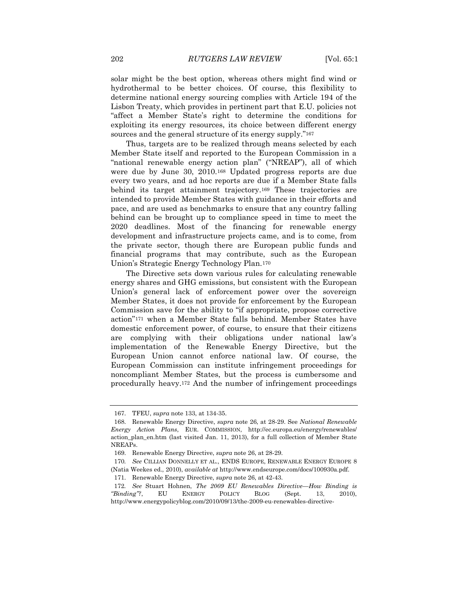solar might be the best option, whereas others might find wind or hydrothermal to be better choices. Of course, this flexibility to determine national energy sourcing complies with Article 194 of the Lisbon Treaty, which provides in pertinent part that E.U. policies not "affect a Member State's right to determine the conditions for exploiting its energy resources, its choice between different energy sources and the general structure of its energy supply."<sup>167</sup>

Thus, targets are to be realized through means selected by each Member State itself and reported to the European Commission in a "national renewable energy action plan" ("NREAP"), all of which were due by June 30, 2010.<sup>168</sup> Updated progress reports are due every two years, and ad hoc reports are due if a Member State falls behind its target attainment trajectory.<sup>169</sup> These trajectories are intended to provide Member States with guidance in their efforts and pace, and are used as benchmarks to ensure that any country falling behind can be brought up to compliance speed in time to meet the 2020 deadlines. Most of the financing for renewable energy development and infrastructure projects came, and is to come, from the private sector, though there are European public funds and financial programs that may contribute, such as the European Union's Strategic Energy Technology Plan.<sup>170</sup>

The Directive sets down various rules for calculating renewable energy shares and GHG emissions, but consistent with the European Union's general lack of enforcement power over the sovereign Member States, it does not provide for enforcement by the European Commission save for the ability to "if appropriate, propose corrective action"<sup>171</sup> when a Member State falls behind. Member States have domestic enforcement power, of course, to ensure that their citizens are complying with their obligations under national law's implementation of the Renewable Energy Directive, but the European Union cannot enforce national law. Of course, the European Commission can institute infringement proceedings for noncompliant Member States, but the process is cumbersome and procedurally heavy.<sup>172</sup> And the number of infringement proceedings

<sup>167.</sup> TFEU, *supra* note 133, at 134-35.

<sup>168.</sup> Renewable Energy Directive, *supra* note 26, at 28-29. See *National Renewable Energy Action Plans*, EUR. COMMISSION, http://ec.europa.eu/energy/renewables/ action\_plan\_en.htm (last visited Jan. 11, 2013), for a full collection of Member State NREAPs.

<sup>169.</sup> Renewable Energy Directive, *supra* note 26, at 28-29.

<sup>170</sup>*. See* CILLIAN DONNELLY ET AL., ENDS EUROPE, RENEWABLE ENERGY EUROPE 8 (Natia Weekes ed., 2010), *available at* http://www.endseurope.com/docs/100930a.pdf.

<sup>171.</sup> Renewable Energy Directive, *supra* note 26, at 42-43.

<sup>172</sup>*. See* Stuart Hohnen, *The 2009 EU Renewables Directive—How Binding is "Binding"?*, EU ENERGY POLICY BLOG (Sept. 13, 2010), http://www.energypolicyblog.com/2010/09/13/the-2009-eu-renewables-directive-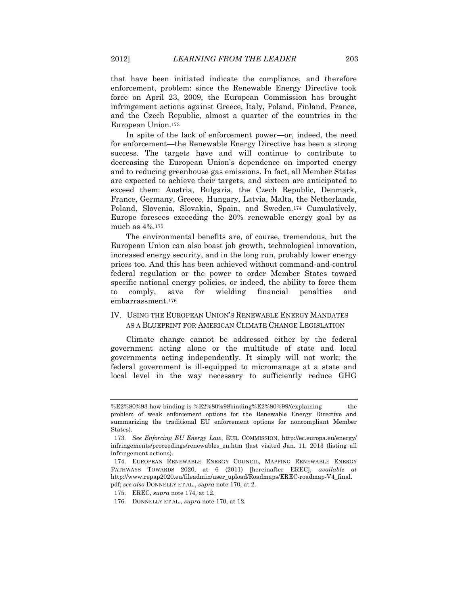that have been initiated indicate the compliance, and therefore enforcement, problem: since the Renewable Energy Directive took force on April 23, 2009, the European Commission has brought infringement actions against Greece, Italy, Poland, Finland, France, and the Czech Republic, almost a quarter of the countries in the European Union.<sup>173</sup>

In spite of the lack of enforcement power—or, indeed, the need for enforcement—the Renewable Energy Directive has been a strong success. The targets have and will continue to contribute to decreasing the European Union's dependence on imported energy and to reducing greenhouse gas emissions. In fact, all Member States are expected to achieve their targets, and sixteen are anticipated to exceed them: Austria, Bulgaria, the Czech Republic, Denmark, France, Germany, Greece, Hungary, Latvia, Malta, the Netherlands, Poland, Slovenia, Slovakia, Spain, and Sweden.<sup>174</sup> Cumulatively, Europe foresees exceeding the 20% renewable energy goal by as much as 4%.<sup>175</sup>

The environmental benefits are, of course, tremendous, but the European Union can also boast job growth, technological innovation, increased energy security, and in the long run, probably lower energy prices too. And this has been achieved without command-and-control federal regulation or the power to order Member States toward specific national energy policies, or indeed, the ability to force them to comply, save for wielding financial penalties and embarrassment.<sup>176</sup>

# IV. USING THE EUROPEAN UNION'S RENEWABLE ENERGY MANDATES AS A BLUEPRINT FOR AMERICAN CLIMATE CHANGE LEGISLATION

Climate change cannot be addressed either by the federal government acting alone or the multitude of state and local governments acting independently. It simply will not work; the federal government is ill-equipped to micromanage at a state and local level in the way necessary to sufficiently reduce GHG

 $%E2\%80\%93$ -how-binding-is-%E2%80%98binding%E2%80%99/(explaining the problem of weak enforcement options for the Renewable Energy Directive and summarizing the traditional EU enforcement options for noncompliant Member States).

<sup>173</sup>*. See Enforcing EU Energy Law*, EUR. COMMISSION, http://ec.europa.eu/energy/ infringements/proceedings/renewables\_en.htm (last visited Jan. 11, 2013 (listing all infringement actions).

<sup>174.</sup> EUROPEAN RENEWABLE ENERGY COUNCIL, MAPPING RENEWABLE ENERGY PATHWAYS TOWARDS 2020, at 6 (2011) [hereinafter EREC], *available at* http://www.repap2020.eu/fileadmin/user\_upload/Roadmaps/EREC-roadmap-V4\_final. pdf; *see also* DONNELLY ET AL., *supra* note 170, at 2.

<sup>175.</sup> EREC, *supra* note 174, at 12.

<sup>176.</sup> DONNELLY ET AL., *supra* note 170, at 12.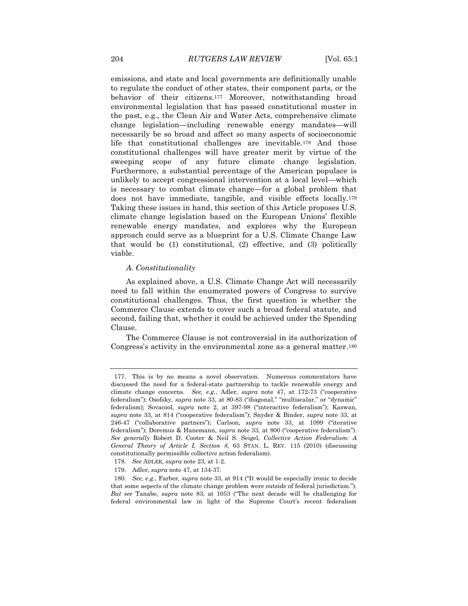emissions, and state and local governments are definitionally unable to regulate the conduct of other states, their component parts, or the behavior of their citizens.<sup>177</sup> Moreover, notwithstanding broad environmental legislation that has passed constitutional muster in the past, e.g., the Clean Air and Water Acts, comprehensive climate change legislation—including renewable energy mandates—will necessarily be so broad and affect so many aspects of socioeconomic life that constitutional challenges are inevitable.<sup>178</sup> And those constitutional challenges will have greater merit by virtue of the sweeping scope of any future climate change legislation. Furthermore, a substantial percentage of the American populace is unlikely to accept congressional intervention at a local level—which is necessary to combat climate change—for a global problem that does not have immediate, tangible, and visible effects locally.<sup>179</sup> Taking these issues in hand, this section of this Article proposes U.S. climate change legislation based on the European Unions' flexible renewable energy mandates, and explores why the European approach could serve as a blueprint for a U.S. Climate Change Law that would be (1) constitutional, (2) effective, and (3) politically viable.

### *A. Constitutionality*

As explained above, a U.S. Climate Change Act will necessarily need to fall within the enumerated powers of Congress to survive constitutional challenges. Thus, the first question is whether the Commerce Clause extends to cover such a broad federal statute, and second, failing that, whether it could be achieved under the Spending Clause.

The Commerce Clause is not controversial in its authorization of Congress's activity in the environmental zone as a general matter.<sup>180</sup>

<sup>177.</sup> This is by no means a novel observation. Numerous commentators have discussed the need for a federal-state partnership to tackle renewable energy and climate change concerns. *See, e.g.*, Adler, *supra* note 47, at 172-73 ("cooperative federalism"); Osofsky, *supra* note 33, at 80-83 ("diagonal," "multiscalar," or "dynamic" federalism); Sovacool, *supra* note 2, at 397-98 ("interactive federalism"); Kaswan, *supra* note 33, at 814 ("cooperative federalism"); Snyder & Binder, *supra* note 33, at 246-47 ("collaborative partners"); Carlson, *supra* note 33, at 1099 ("iterative federalism"); Doremus & Hanemann, *supra* note 33, at 800 ("cooperative federalism"). *See generally* Robert D. Cooter & Neil S. Seigel, *Collective Action Federalism: A General Theory of Article I, Section 8*, 63 STAN. L. REV. 115 (2010) (discussing constitutionally permissible collective action federalism).

<sup>178</sup>*. See* ADLER*, supra* note 23, at 1-2*.*

<sup>179.</sup> Adler, *supra* note 47, at 134-37.

<sup>180</sup>*. See, e.g.*, Farber, *supra* note 33, at 914 ("It would be especially ironic to decide that some aspects of the climate change problem were outside of federal jurisdiction."). *But see* Tanabe, *supra* note 83, at 1053 ("The next decade will be challenging for federal environmental law in light of the Supreme Court's recent federalism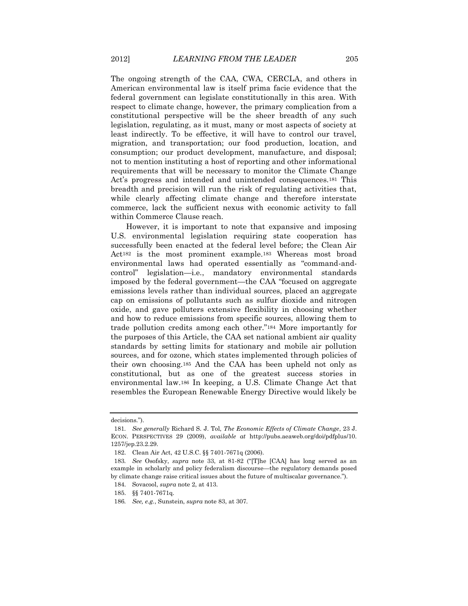The ongoing strength of the CAA, CWA, CERCLA, and others in American environmental law is itself prima facie evidence that the federal government can legislate constitutionally in this area. With respect to climate change, however, the primary complication from a constitutional perspective will be the sheer breadth of any such legislation, regulating, as it must, many or most aspects of society at least indirectly. To be effective, it will have to control our travel, migration, and transportation; our food production, location, and consumption; our product development, manufacture, and disposal; not to mention instituting a host of reporting and other informational requirements that will be necessary to monitor the Climate Change Act's progress and intended and unintended consequences.<sup>181</sup> This breadth and precision will run the risk of regulating activities that, while clearly affecting climate change and therefore interstate commerce, lack the sufficient nexus with economic activity to fall within Commerce Clause reach.

However, it is important to note that expansive and imposing U.S. environmental legislation requiring state cooperation has successfully been enacted at the federal level before; the Clean Air Act<sup>182</sup> is the most prominent example.<sup>183</sup> Whereas most broad environmental laws had operated essentially as "command-andcontrol" legislation—i.e*.*, mandatory environmental standards imposed by the federal government—the CAA "focused on aggregate emissions levels rather than individual sources, placed an aggregate cap on emissions of pollutants such as sulfur dioxide and nitrogen oxide, and gave polluters extensive flexibility in choosing whether and how to reduce emissions from specific sources, allowing them to trade pollution credits among each other."<sup>184</sup> More importantly for the purposes of this Article, the CAA set national ambient air quality standards by setting limits for stationary and mobile air pollution sources, and for ozone, which states implemented through policies of their own choosing.<sup>185</sup> And the CAA has been upheld not only as constitutional, but as one of the greatest success stories in environmental law.<sup>186</sup> In keeping, a U.S. Climate Change Act that resembles the European Renewable Energy Directive would likely be

decisions*.*").

<sup>181</sup>*. See generally* Richard S. J. Tol, *The Economic Effects of Climate Change*, 23 J. ECON. PERSPECTIVES 29 (2009), *available at* http://pubs.aeaweb.org/doi/pdfplus/10. 1257/jep.23.2.29.

<sup>182.</sup> Clean Air Act, 42 U.S.C. §§ 7401-7671q (2006).

<sup>183</sup>*. See* Osofsky, *supra* note 33, at 81-82 ("[T]he [CAA] has long served as an example in scholarly and policy federalism discourse—the regulatory demands posed by climate change raise critical issues about the future of multiscalar governance.").

<sup>184.</sup> Sovacool, *supra* note 2, at 413.

<sup>185.</sup> §§ 7401-7671q.

<sup>186</sup>*. See, e.g.*, Sunstein, *supra* note 83, at 307.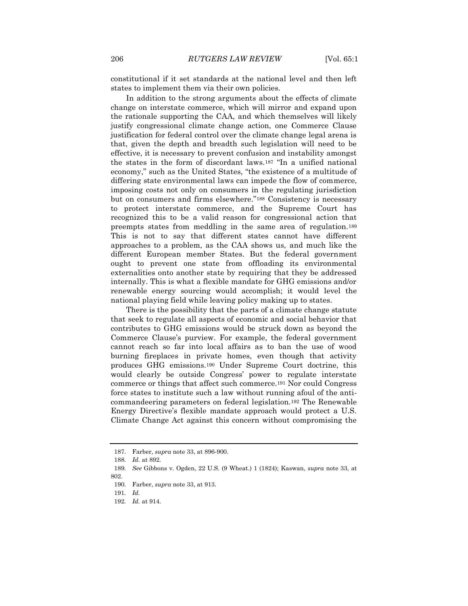constitutional if it set standards at the national level and then left states to implement them via their own policies.

In addition to the strong arguments about the effects of climate change on interstate commerce, which will mirror and expand upon the rationale supporting the CAA, and which themselves will likely justify congressional climate change action, one Commerce Clause justification for federal control over the climate change legal arena is that, given the depth and breadth such legislation will need to be effective, it is necessary to prevent confusion and instability amongst the states in the form of discordant laws.<sup>187</sup> "In a unified national economy," such as the United States, "the existence of a multitude of differing state environmental laws can impede the flow of commerce, imposing costs not only on consumers in the regulating jurisdiction but on consumers and firms elsewhere."<sup>188</sup> Consistency is necessary to protect interstate commerce, and the Supreme Court has recognized this to be a valid reason for congressional action that preempts states from meddling in the same area of regulation.<sup>189</sup> This is not to say that different states cannot have different approaches to a problem, as the CAA shows us, and much like the different European member States. But the federal government ought to prevent one state from offloading its environmental externalities onto another state by requiring that they be addressed internally. This is what a flexible mandate for GHG emissions and/or renewable energy sourcing would accomplish; it would level the national playing field while leaving policy making up to states.

There is the possibility that the parts of a climate change statute that seek to regulate all aspects of economic and social behavior that contributes to GHG emissions would be struck down as beyond the Commerce Clause's purview. For example, the federal government cannot reach so far into local affairs as to ban the use of wood burning fireplaces in private homes, even though that activity produces GHG emissions.<sup>190</sup> Under Supreme Court doctrine, this would clearly be outside Congress' power to regulate interstate commerce or things that affect such commerce.<sup>191</sup> Nor could Congress force states to institute such a law without running afoul of the anticommandeering parameters on federal legislation.<sup>192</sup> The Renewable Energy Directive's flexible mandate approach would protect a U.S. Climate Change Act against this concern without compromising the

<sup>187.</sup> Farber, *supra* note 33, at 896-900.

<sup>188</sup>*. Id.* at 892.

<sup>189</sup>*. See* Gibbons v. Ogden, 22 U.S. (9 Wheat.) 1 (1824); Kaswan, *supra* note 33, at 802.

<sup>190.</sup> Farber, *supra* note 33, at 913.

<sup>191</sup>*. Id.*

<sup>192</sup>*. Id.* at 914.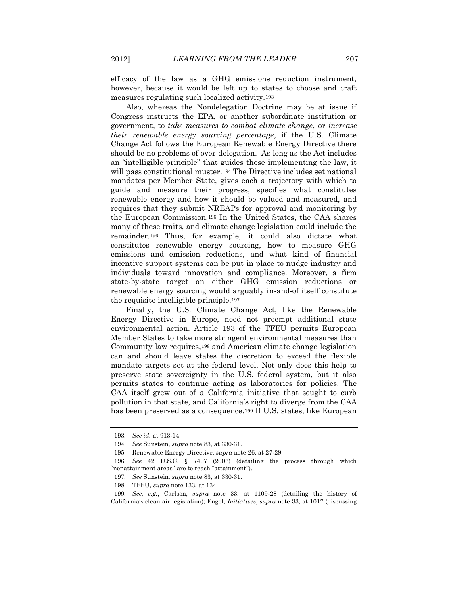efficacy of the law as a GHG emissions reduction instrument, however, because it would be left up to states to choose and craft measures regulating such localized activity.<sup>193</sup>

Also, whereas the Nondelegation Doctrine may be at issue if Congress instructs the EPA, or another subordinate institution or government, to *take measures to combat climate change*, or *increase their renewable energy sourcing percentage*, if the U.S. Climate Change Act follows the European Renewable Energy Directive there should be no problems of over-delegation. As long as the Act includes an "intelligible principle" that guides those implementing the law, it will pass constitutional muster.<sup>194</sup> The Directive includes set national mandates per Member State, gives each a trajectory with which to guide and measure their progress, specifies what constitutes renewable energy and how it should be valued and measured, and requires that they submit NREAPs for approval and monitoring by the European Commission.<sup>195</sup> In the United States, the CAA shares many of these traits, and climate change legislation could include the remainder.<sup>196</sup> Thus, for example, it could also dictate what constitutes renewable energy sourcing, how to measure GHG emissions and emission reductions, and what kind of financial incentive support systems can be put in place to nudge industry and individuals toward innovation and compliance. Moreover, a firm state-by-state target on either GHG emission reductions or renewable energy sourcing would arguably in-and-of itself constitute the requisite intelligible principle.<sup>197</sup>

Finally, the U.S. Climate Change Act, like the Renewable Energy Directive in Europe, need not preempt additional state environmental action. Article 193 of the TFEU permits European Member States to take more stringent environmental measures than Community law requires,<sup>198</sup> and American climate change legislation can and should leave states the discretion to exceed the flexible mandate targets set at the federal level. Not only does this help to preserve state sovereignty in the U.S. federal system, but it also permits states to continue acting as laboratories for policies. The CAA itself grew out of a California initiative that sought to curb pollution in that state, and California's right to diverge from the CAA has been preserved as a consequence.<sup>199</sup> If U.S. states, like European

<sup>193</sup>*. See id.* at 913-14.

<sup>194</sup>*. See* Sunstein, *supra* note 83, at 330-31.

<sup>195.</sup> Renewable Energy Directive, *supra* note 26, at 27-29.

<sup>196</sup>*. See* 42 U.S.C. § 7407 (2006) (detailing the process through which "nonattainment areas" are to reach "attainment").

<sup>197</sup>*. See* Sunstein*, supra* note 83, at 330-31.

<sup>198.</sup> TFEU, *supra* note 133, at 134.

<sup>199</sup>*. See, e.g.*, Carlson, *supra* note 33, at 1109-28 (detailing the history of California's clean air legislation); Engel, *Initiatives*, *supra* note 33, at 1017 (discussing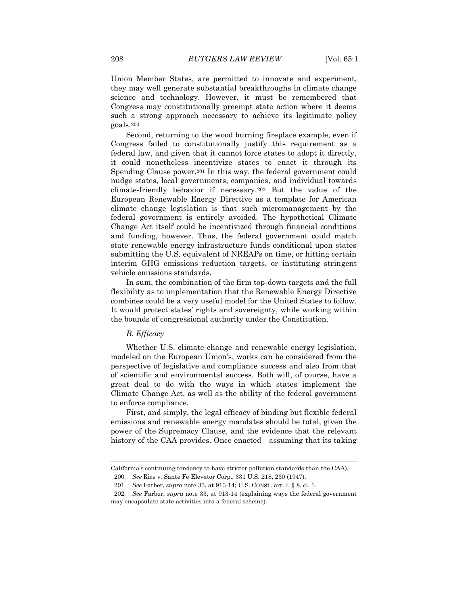Union Member States, are permitted to innovate and experiment, they may well generate substantial breakthroughs in climate change science and technology. However, it must be remembered that Congress may constitutionally preempt state action where it deems such a strong approach necessary to achieve its legitimate policy goals.<sup>200</sup>

Second, returning to the wood burning fireplace example, even if Congress failed to constitutionally justify this requirement as a federal law, and given that it cannot force states to adopt it directly, it could nonetheless incentivize states to enact it through its Spending Clause power.<sup>201</sup> In this way, the federal government could nudge states, local governments, companies, and individual towards climate-friendly behavior if necessary.<sup>202</sup> But the value of the European Renewable Energy Directive as a template for American climate change legislation is that such micromanagement by the federal government is entirely avoided. The hypothetical Climate Change Act itself could be incentivized through financial conditions and funding, however. Thus, the federal government could match state renewable energy infrastructure funds conditional upon states submitting the U.S. equivalent of NREAPs on time, or hitting certain interim GHG emissions reduction targets, or instituting stringent vehicle emissions standards.

In sum, the combination of the firm top-down targets and the full flexibility as to implementation that the Renewable Energy Directive combines could be a very useful model for the United States to follow. It would protect states' rights and sovereignty, while working within the bounds of congressional authority under the Constitution.

# *B. Efficacy*

Whether U.S. climate change and renewable energy legislation, modeled on the European Union's, works can be considered from the perspective of legislative and compliance success and also from that of scientific and environmental success. Both will, of course, have a great deal to do with the ways in which states implement the Climate Change Act, as well as the ability of the federal government to enforce compliance.

First, and simply, the legal efficacy of binding but flexible federal emissions and renewable energy mandates should be total, given the power of the Supremacy Clause, and the evidence that the relevant history of the CAA provides. Once enacted—assuming that its taking

California's continuing tendency to have stricter pollution standards than the CAA). 200*. See* Rice v. Sante Fe Elevator Corp., 331 U.S. 218, 230 (1947).

<sup>201</sup>*. See* Farber, *supra* note 33, at 913-14; U.S. CONST. art. I, § 8, cl. 1.

<sup>202</sup>*. See* Farber, *supra* note 33, at 913-14 (explaining ways the federal government may encapsulate state activities into a federal scheme).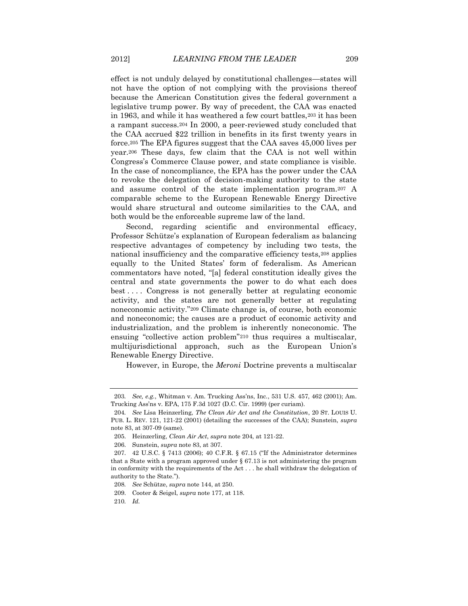effect is not unduly delayed by constitutional challenges—states will not have the option of not complying with the provisions thereof because the American Constitution gives the federal government a legislative trump power. By way of precedent, the CAA was enacted in 1963, and while it has weathered a few court battles, 203 it has been a rampant success.<sup>204</sup> In 2000, a peer-reviewed study concluded that the CAA accrued \$22 trillion in benefits in its first twenty years in force.<sup>205</sup> The EPA figures suggest that the CAA saves 45,000 lives per year.<sup>206</sup> These days, few claim that the CAA is not well within Congress's Commerce Clause power, and state compliance is visible. In the case of noncompliance, the EPA has the power under the CAA to revoke the delegation of decision-making authority to the state and assume control of the state implementation program.<sup>207</sup> A comparable scheme to the European Renewable Energy Directive would share structural and outcome similarities to the CAA, and both would be the enforceable supreme law of the land.

Second, regarding scientific and environmental efficacy, Professor Schütze's explanation of European federalism as balancing respective advantages of competency by including two tests, the national insufficiency and the comparative efficiency tests,<sup>208</sup> applies equally to the United States' form of federalism. As American commentators have noted, "[a] federal constitution ideally gives the central and state governments the power to do what each does best . . . . Congress is not generally better at regulating economic activity, and the states are not generally better at regulating noneconomic activity."<sup>209</sup> Climate change is, of course, both economic and noneconomic; the causes are a product of economic activity and industrialization, and the problem is inherently noneconomic. The ensuing "collective action problem"<sup>210</sup> thus requires a multiscalar, multijurisdictional approach, such as the European Union's Renewable Energy Directive.

However, in Europe, the *Meroni* Doctrine prevents a multiscalar

<sup>203</sup>*. See, e.g.*, Whitman v. Am. Trucking Ass'ns, Inc*.*, 531 U.S. 457, 462 (2001); Am. Trucking Ass'ns v. EPA, 175 F.3d 1027 (D.C. Cir. 1999) (per curiam).

<sup>204</sup>*. See* Lisa Heinzerling, *The Clean Air Act and the Constitution*, 20 ST. LOUIS U. PUB. L. REV. 121, 121-22 (2001) (detailing the successes of the CAA); Sunstein, *supra* note 83, at 307-09 (same).

<sup>205.</sup> Heinzerling, *Clean Air Act*, *supra* note 204, at 121-22.

<sup>206.</sup> Sunstein, *supra* note 83, at 307.

<sup>207.</sup> 42 U.S.C. § 7413 (2006); 40 C.F.R. § 67.15 ("If the Administrator determines that a State with a program approved under  $\S 67.13$  is not administering the program in conformity with the requirements of the Act . . . he shall withdraw the delegation of authority to the State.").

<sup>208</sup>*. See* Schütze, *supra* note 144, at 250.

<sup>209.</sup> Cooter & Seigel, *supra* note 177, at 118.

<sup>210</sup>*. Id.*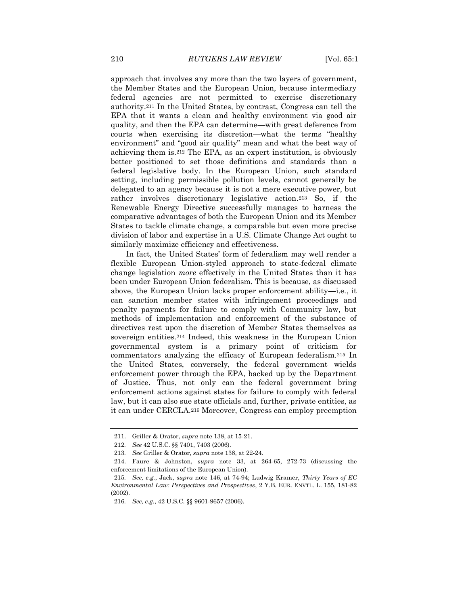approach that involves any more than the two layers of government, the Member States and the European Union, because intermediary federal agencies are not permitted to exercise discretionary authority.<sup>211</sup> In the United States, by contrast, Congress can tell the EPA that it wants a clean and healthy environment via good air quality, and then the EPA can determine—with great deference from courts when exercising its discretion—what the terms "healthy environment" and "good air quality" mean and what the best way of achieving them is.<sup>212</sup> The EPA, as an expert institution, is obviously better positioned to set those definitions and standards than a federal legislative body. In the European Union, such standard setting, including permissible pollution levels, cannot generally be delegated to an agency because it is not a mere executive power, but rather involves discretionary legislative action.<sup>213</sup> So, if the Renewable Energy Directive successfully manages to harness the comparative advantages of both the European Union and its Member States to tackle climate change, a comparable but even more precise division of labor and expertise in a U.S. Climate Change Act ought to similarly maximize efficiency and effectiveness.

In fact, the United States' form of federalism may well render a flexible European Union-styled approach to state-federal climate change legislation *more* effectively in the United States than it has been under European Union federalism. This is because, as discussed above, the European Union lacks proper enforcement ability—i.e*.*, it can sanction member states with infringement proceedings and penalty payments for failure to comply with Community law, but methods of implementation and enforcement of the substance of directives rest upon the discretion of Member States themselves as sovereign entities.<sup>214</sup> Indeed, this weakness in the European Union governmental system is a primary point of criticism for commentators analyzing the efficacy of European federalism.<sup>215</sup> In the United States, conversely, the federal government wields enforcement power through the EPA, backed up by the Department of Justice. Thus, not only can the federal government bring enforcement actions against states for failure to comply with federal law, but it can also sue state officials and, further, private entities, as it can under CERCLA.<sup>216</sup> Moreover, Congress can employ preemption

<sup>211.</sup> Griller & Orator, *supra* note 138, at 15-21.

<sup>212</sup>*. See* 42 U.S.C. §§ 7401, 7403 (2006).

<sup>213</sup>*. See* Griller & Orator, *supra* note 138, at 22-24.

<sup>214.</sup> Faure & Johnston, *supra* note 33, at 264-65, 272-73 (discussing the enforcement limitations of the European Union).

<sup>215</sup>*. See, e.g.*, Jack, *supra* note 146, at 74-94; Ludwig Kramer, *Thirty Years of EC Environmental Law: Perspectives and Prospectives*, 2 Y.B. EUR. ENVTL. L. 155, 181-82 (2002).

<sup>216</sup>*. See, e.g.*, 42 U.S.C. §§ 9601-9657 (2006).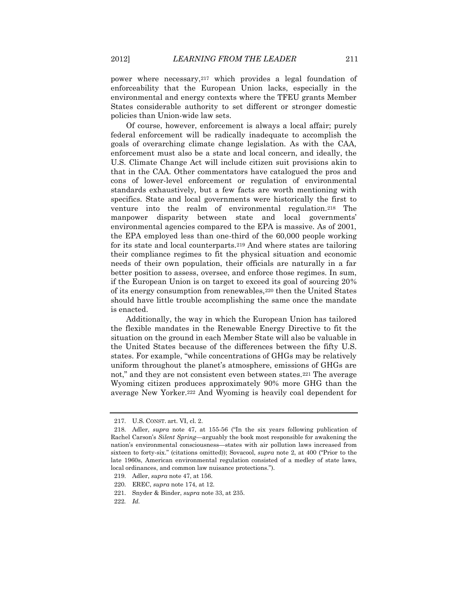power where necessary,<sup>217</sup> which provides a legal foundation of enforceability that the European Union lacks, especially in the environmental and energy contexts where the TFEU grants Member States considerable authority to set different or stronger domestic policies than Union-wide law sets.

Of course, however, enforcement is always a local affair; purely federal enforcement will be radically inadequate to accomplish the goals of overarching climate change legislation. As with the CAA, enforcement must also be a state and local concern, and ideally, the U.S. Climate Change Act will include citizen suit provisions akin to that in the CAA. Other commentators have catalogued the pros and cons of lower-level enforcement or regulation of environmental standards exhaustively, but a few facts are worth mentioning with specifics. State and local governments were historically the first to venture into the realm of environmental regulation.<sup>218</sup> The manpower disparity between state and local governments' environmental agencies compared to the EPA is massive. As of 2001, the EPA employed less than one-third of the 60,000 people working for its state and local counterparts.<sup>219</sup> And where states are tailoring their compliance regimes to fit the physical situation and economic needs of their own population, their officials are naturally in a far better position to assess, oversee, and enforce those regimes. In sum, if the European Union is on target to exceed its goal of sourcing 20% of its energy consumption from renewables,<sup>220</sup> then the United States should have little trouble accomplishing the same once the mandate is enacted.

Additionally, the way in which the European Union has tailored the flexible mandates in the Renewable Energy Directive to fit the situation on the ground in each Member State will also be valuable in the United States because of the differences between the fifty U.S. states. For example, "while concentrations of GHGs may be relatively uniform throughout the planet's atmosphere, emissions of GHGs are not," and they are not consistent even between states.<sup>221</sup> The average Wyoming citizen produces approximately 90% more GHG than the average New Yorker.<sup>222</sup> And Wyoming is heavily coal dependent for

<sup>217.</sup> U.S. CONST. art. VI, cl. 2.

<sup>218.</sup> Adler, *supra* note 47, at 155-56 ("In the six years following publication of Rachel Carson's *Silent Spring*—arguably the book most responsible for awakening the nation's environmental consciousness—states with air pollution laws increased from sixteen to forty-six." (citations omitted)); Sovacool, *supra* note 2, at 400 ("Prior to the late 1960s, American environmental regulation consisted of a medley of state laws, local ordinances, and common law nuisance protections.").

<sup>219.</sup> Adler, *supra* note 47, at 156.

<sup>220.</sup> EREC, *supra* note 174, at 12.

<sup>221.</sup> Snyder & Binder, *supra* note 33, at 235.

<sup>222</sup>*. Id.*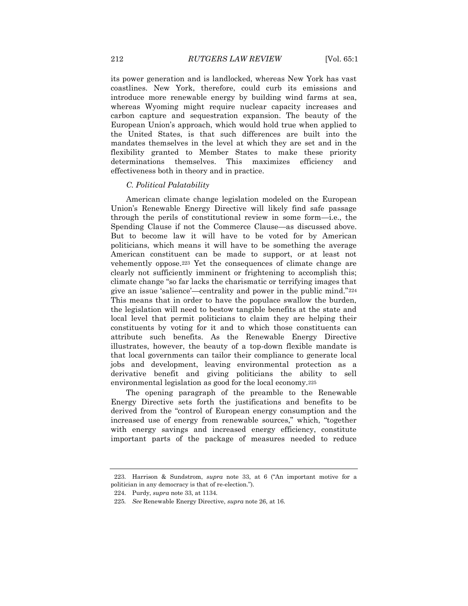its power generation and is landlocked, whereas New York has vast coastlines. New York, therefore, could curb its emissions and introduce more renewable energy by building wind farms at sea, whereas Wyoming might require nuclear capacity increases and carbon capture and sequestration expansion. The beauty of the European Union's approach, which would hold true when applied to the United States, is that such differences are built into the mandates themselves in the level at which they are set and in the flexibility granted to Member States to make these priority determinations themselves. This maximizes efficiency and effectiveness both in theory and in practice.

# *C. Political Palatability*

American climate change legislation modeled on the European Union's Renewable Energy Directive will likely find safe passage through the perils of constitutional review in some form—i.e., the Spending Clause if not the Commerce Clause—as discussed above. But to become law it will have to be voted for by American politicians, which means it will have to be something the average American constituent can be made to support, or at least not vehemently oppose.<sup>223</sup> Yet the consequences of climate change are clearly not sufficiently imminent or frightening to accomplish this; climate change "so far lacks the charismatic or terrifying images that give an issue 'salience'—centrality and power in the public mind."<sup>224</sup> This means that in order to have the populace swallow the burden, the legislation will need to bestow tangible benefits at the state and local level that permit politicians to claim they are helping their constituents by voting for it and to which those constituents can attribute such benefits. As the Renewable Energy Directive illustrates, however, the beauty of a top-down flexible mandate is that local governments can tailor their compliance to generate local jobs and development, leaving environmental protection as a derivative benefit and giving politicians the ability to sell environmental legislation as good for the local economy.<sup>225</sup>

The opening paragraph of the preamble to the Renewable Energy Directive sets forth the justifications and benefits to be derived from the "control of European energy consumption and the increased use of energy from renewable sources," which, "together with energy savings and increased energy efficiency, constitute important parts of the package of measures needed to reduce

<sup>223.</sup> Harrison & Sundstrom, *supra* note 33, at 6 ("An important motive for a politician in any democracy is that of re-election.").

<sup>224.</sup> Purdy, *supra* note 33, at 1134.

<sup>225</sup>*. See* Renewable Energy Directive, *supra* note 26, at 16.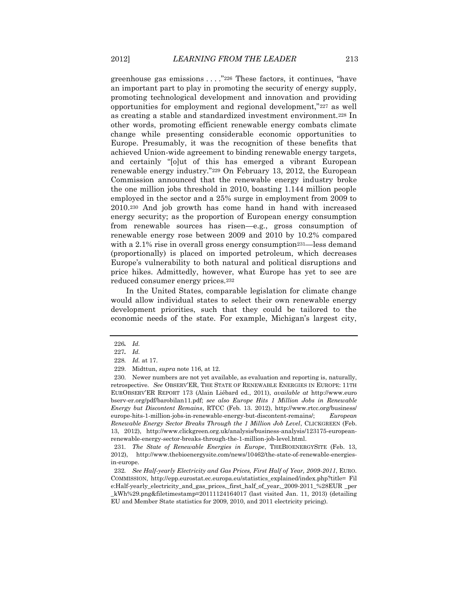greenhouse gas emissions . . . ."<sup>226</sup> These factors, it continues, "have an important part to play in promoting the security of energy supply, promoting technological development and innovation and providing opportunities for employment and regional development,"<sup>227</sup> as well as creating a stable and standardized investment environment.<sup>228</sup> In other words, promoting efficient renewable energy combats climate change while presenting considerable economic opportunities to Europe. Presumably, it was the recognition of these benefits that achieved Union-wide agreement to binding renewable energy targets, and certainly "[o]ut of this has emerged a vibrant European renewable energy industry."<sup>229</sup> On February 13, 2012, the European Commission announced that the renewable energy industry broke the one million jobs threshold in 2010, boasting 1.144 million people employed in the sector and a 25% surge in employment from 2009 to 2010.<sup>230</sup> And job growth has come hand in hand with increased energy security; as the proportion of European energy consumption from renewable sources has risen—e.g*.*, gross consumption of renewable energy rose between 2009 and 2010 by 10.2% compared with a 2.1% rise in overall gross energy consumption<sup>231—less</sup> demand (proportionally) is placed on imported petroleum, which decreases Europe's vulnerability to both natural and political disruptions and price hikes. Admittedly, however, what Europe has yet to see are reduced consumer energy prices.<sup>232</sup>

In the United States, comparable legislation for climate change would allow individual states to select their own renewable energy development priorities, such that they could be tailored to the economic needs of the state. For example, Michigan's largest city,

231*. The State of Renewable Energies in Europe*, THEBIOENERGYSITE (Feb. 13, 2012), http://www.thebioenergysite.com/news/10462/the-state-of-renewable-energiesin-europe.

232*. See Half-yearly Electricity and Gas Prices, First Half of Year, 2009-2011*, EURO. COMMISSION, http://epp.eurostat.ec.europa.eu/statistics\_explained/index.php?title= Fil e:Half-yearly\_electricity\_and\_gas\_prices,\_first\_half\_of\_year,\_2009-2011\_%28EUR \_per \_kWh%29.png&filetimestamp=20111124164017 (last visited Jan. 11, 2013) (detailing EU and Member State statistics for 2009, 2010, and 2011 electricity pricing).

<sup>226</sup>*. Id.*

<sup>227</sup>*. Id.*

<sup>228</sup>*. Id.* at 17.

<sup>229.</sup> Midttun, *supra* note 116, at 12.

<sup>230.</sup> Newer numbers are not yet available, as evaluation and reporting is, naturally, retrospective. *See* OBSERV'ER, THE STATE OF RENEWABLE ENERGIES IN EUROPE: 11TH EUROBSERV'ER REPORT 173 (Alain Liébard ed., 2011), *available at* http://www.euro bserv-er.org/pdf/barobilan11.pdf; *see also Europe Hits 1 Million Jobs in Renewable Energy but Discontent Remains*, RTCC (Feb. 13. 2012), http://www.rtcc.org/business/ europe-hits-1-million-jobs-in-renewable-energy-but-discontent-remains/; *European Renewable Energy Sector Breaks Through the 1 Million Job Level*, CLICKGREEN (Feb. 13, 2012), http://www.clickgreen.org.uk/analysis/business-analysis/123175-europeanrenewable-energy-sector-breaks-through-the-1-million-job-level.html.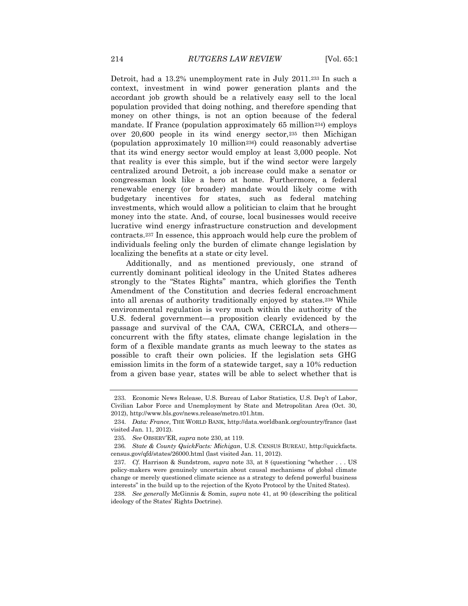Detroit, had a 13.2% unemployment rate in July 2011.<sup>233</sup> In such a context, investment in wind power generation plants and the accordant job growth should be a relatively easy sell to the local population provided that doing nothing, and therefore spending that money on other things, is not an option because of the federal mandate. If France (population approximately 65 million<sup>234</sup>) employs over 20,600 people in its wind energy sector,<sup>235</sup> then Michigan (population approximately 10 million236) could reasonably advertise that its wind energy sector would employ at least 3,000 people. Not that reality is ever this simple, but if the wind sector were largely centralized around Detroit, a job increase could make a senator or congressman look like a hero at home. Furthermore, a federal renewable energy (or broader) mandate would likely come with budgetary incentives for states, such as federal matching investments, which would allow a politician to claim that he brought money into the state. And, of course, local businesses would receive lucrative wind energy infrastructure construction and development contracts.<sup>237</sup> In essence, this approach would help cure the problem of individuals feeling only the burden of climate change legislation by localizing the benefits at a state or city level.

Additionally, and as mentioned previously, one strand of currently dominant political ideology in the United States adheres strongly to the "States Rights" mantra, which glorifies the Tenth Amendment of the Constitution and decries federal encroachment into all arenas of authority traditionally enjoyed by states.<sup>238</sup> While environmental regulation is very much within the authority of the U.S. federal government—a proposition clearly evidenced by the passage and survival of the CAA, CWA, CERCLA, and others concurrent with the fifty states, climate change legislation in the form of a flexible mandate grants as much leeway to the states as possible to craft their own policies. If the legislation sets GHG emission limits in the form of a statewide target, say a 10% reduction from a given base year, states will be able to select whether that is

<sup>233.</sup> Economic News Release, U.S. Bureau of Labor Statistics, U.S. Dep't of Labor, Civilian Labor Force and Unemployment by State and Metropolitan Area (Oct. 30, 2012), http://www.bls.gov/news.release/metro.t01.htm.

<sup>234.</sup> *Data: France*, THE WORLD BANK, http://data.worldbank.org/country/france (last visited Jan. 11, 2012).

<sup>235</sup>*. See* OBSERV'ER, *supra* note 230, at 119.

<sup>236</sup>*. State & County QuickFacts: Michigan*, U.S. CENSUS BUREAU, http://quickfacts. census.gov/qfd/states/26000.html (last visited Jan. 11, 2012).

<sup>237</sup>*. Cf.* Harrison & Sundstrom, *supra* note 33, at 8 (questioning "whether . . . US policy-makers were genuinely uncertain about causal mechanisms of global climate change or merely questioned climate science as a strategy to defend powerful business interests" in the build up to the rejection of the Kyoto Protocol by the United States).

<sup>238</sup>*. See generally* McGinnis & Somin, *supra* note 41, at 90 (describing the political ideology of the States' Rights Doctrine).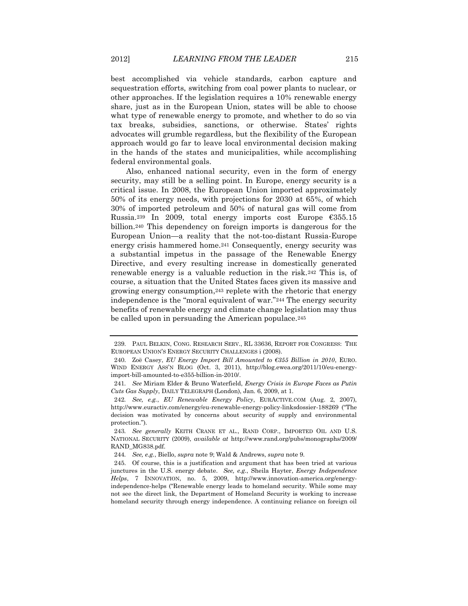best accomplished via vehicle standards, carbon capture and sequestration efforts, switching from coal power plants to nuclear, or other approaches. If the legislation requires a 10% renewable energy share, just as in the European Union, states will be able to choose what type of renewable energy to promote, and whether to do so via tax breaks, subsidies, sanctions, or otherwise. States' rights advocates will grumble regardless, but the flexibility of the European approach would go far to leave local environmental decision making in the hands of the states and municipalities, while accomplishing federal environmental goals.

Also, enhanced national security, even in the form of energy security, may still be a selling point. In Europe, energy security is a critical issue. In 2008, the European Union imported approximately 50% of its energy needs, with projections for 2030 at 65%, of which 30% of imported petroleum and 50% of natural gas will come from Russia.<sup>239</sup> In 2009, total energy imports cost Europe €355.15 billion.<sup>240</sup> This dependency on foreign imports is dangerous for the European Union—a reality that the not-too-distant Russia-Europe energy crisis hammered home.<sup>241</sup> Consequently, energy security was a substantial impetus in the passage of the Renewable Energy Directive, and every resulting increase in domestically generated renewable energy is a valuable reduction in the risk.<sup>242</sup> This is, of course, a situation that the United States faces given its massive and growing energy consumption,<sup>243</sup> replete with the rhetoric that energy independence is the "moral equivalent of war."<sup>244</sup> The energy security benefits of renewable energy and climate change legislation may thus be called upon in persuading the American populace.<sup>245</sup>

<sup>239.</sup> PAUL BELKIN, CONG. RESEARCH SERV., RL 33636, REPORT FOR CONGRESS: THE EUROPEAN UNION'S ENERGY SECURITY CHALLENGES i (2008).

<sup>240.</sup> Zoë Casey, *EU Energy Import Bill Amounted to €355 Billion in 2010*, EURO. WIND ENERGY ASS'N BLOG (Oct. 3, 2011), http://blog.ewea.org/2011/10/eu-energyimport-bill-amounted-to-e355-billion-in-2010/.

<sup>241</sup>*. See* Miriam Elder & Bruno Waterfield, *Energy Crisis in Europe Faces as Putin Cuts Gas Supply*, DAILY TELEGRAPH (London), Jan. 6, 2009, at 1.

<sup>242</sup>*. See, e.g.*, *EU Renewable Energy Policy*, EURACTIVE.COM (Aug. 2, 2007), http://www.euractiv.com/energy/eu-renewable-energy-policy-linksdossier-188269 ("The decision was motivated by concerns about security of supply and environmental protection.").

<sup>243</sup>*. See generally* KEITH CRANE ET AL., RAND CORP., IMPORTED OIL AND U.S. NATIONAL SECURITY (2009), *available at* http://www.rand.org/pubs/monographs/2009/ RAND\_MG838.pdf.

<sup>244</sup>*. See, e.g.*, Biello, *supra* note 9; Wald & Andrews, *supra* note 9.

<sup>245.</sup> Of course, this is a justification and argument that has been tried at various junctures in the U.S. energy debate. *See, e.g.*, Sheila Hayter, *Energy Independence Helps*, 7 INNOVATION, no. 5, 2009, http://www.innovation-america.org/energyindependence-helps ("Renewable energy leads to homeland security. While some may not see the direct link, the Department of Homeland Security is working to increase homeland security through energy independence. A continuing reliance on foreign oil